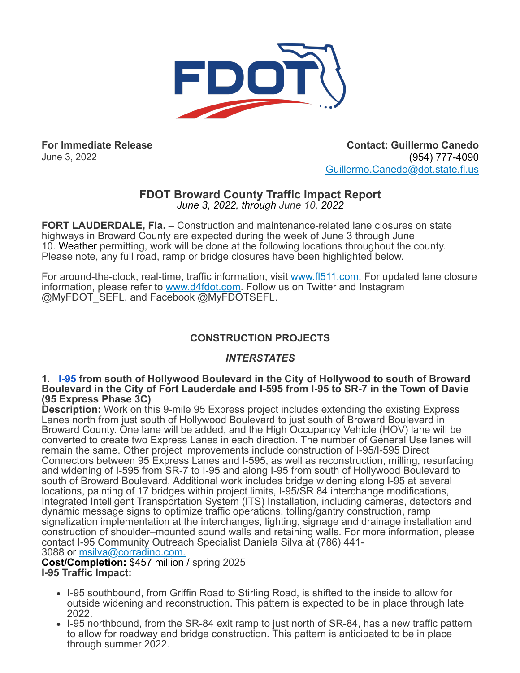

**For Immediate Release** June 3, 2022

**Contact: Guillermo Canedo** (954) 777-4090 [Guillermo.Canedo@dot.state.fl.us](mailto:Guillermo.Canedo@dot.state.fl.us)

# **FDOT Broward County Traffic Impact Report**

*June 3, 2022, through June 10, 2022*

**FORT LAUDERDALE, Fla.** – Construction and maintenance-related lane closures on state highways in Broward County are expected during the week of June 3 through June 10. Weather permitting, work will be done at the following locations throughout the county. Please note, any full road, ramp or bridge closures have been highlighted below.

For around-the-clock, real-time, traffic information, visit [www.fl511.com](https://r20.rs6.net/tn.jsp?f=001kZWI8ZZYZo_kWWZ9cHtbMtP_FHn9b8iwqy_yN1QduxXCwQ29TYSC6Ir84xznN8dC_ftfb18eFXkeRfOoP_tUbgKDF5YbdF-mfpyrFE3Y6R3qrI-m4aqknBULEAnpAmLkqO5s2c1oC08=&c=HlmBFwjhLgVDCbsSLlMoK3Kji1iYEvoOeuOwWT9NavH9oR1s7fQERQ==&ch=MNwiG2Jr2urAXhCKvz0IZnUcUUiCw1C2aKpWxVK4iFogFdhLdd7qJA==). For updated lane closure information, please refer to [www.d4fdot.com](https://r20.rs6.net/tn.jsp?f=001kZWI8ZZYZo_kWWZ9cHtbMtP_FHn9b8iwqy_yN1QduxXCwQ29TYSC6CW5pJGii4PQiIfrdktNsNaUUjW92kMPF7wV-UvoipE7zwE9KxuNKFnH3Z9P7HFjeoPmWxA8LsEXOKZQ42clXWq67rvguLYmrbkXenfutLhOzz2sIV2cIklzXr_rJst-tVJZ9Y8njwax9Lu2n6JgIGRFnswiE4Oi-FPpP4hV57zeb7groTkyoRHUY_J4lcJtZ2VVirGgdB_L9SqLx4ya4MhhOXleeNIvMo1y_3S2J85Ih6t2-7QnqvpIcF92AlwJPIC9EY2yYwhn_Gmk95e3pYBJnGcMT7-0HzIFO6b0OZajGigUdfd45ceO3VdBNRatdxDvrThKDwbUmsRFh7UVJa4kSKBKTocvv1h_blX1B_XnB28KX1ZatHyMt1J0yeMpcW6S5LAbIQbb1ivz2uMN6guVUFdUzRQW0VuMLPstIILe3hT0wQxTlE6mm-txCrO4EUscx5SQh8-FsWnqhM7-MrGmAXZYwE1ULe9DvNUIerZAsRWB1XQuL3bzqIyiz6jUWgpiWgv5JmFe&c=HlmBFwjhLgVDCbsSLlMoK3Kji1iYEvoOeuOwWT9NavH9oR1s7fQERQ==&ch=MNwiG2Jr2urAXhCKvz0IZnUcUUiCw1C2aKpWxVK4iFogFdhLdd7qJA==). Follow us on Twitter and Instagram @MyFDOT\_SEFL, and Facebook @MyFDOTSEFL.

# **CONSTRUCTION PROJECTS**

# *INTERSTATES*

#### **1. [I-95](https://www.google.com/maps/search/1.+I-95?entry=gmail&source=g) from south of Hollywood Boulevard in the City of Hollywood to south of Broward Boulevard in the City of Fort Lauderdale and I-595 from I-95 to SR-7 in the Town of Davie (95 Express Phase 3C)**

**Description:** Work on this 9-mile 95 Express project includes extending the existing Express Lanes north from just south of Hollywood Boulevard to just south of Broward Boulevard in Broward County. One lane will be added, and the High Occupancy Vehicle (HOV) lane will be converted to create two Express Lanes in each direction. The number of General Use lanes will remain the same. Other project improvements include construction of I-95/I-595 Direct Connectors between 95 Express Lanes and I-595, as well as reconstruction, milling, resurfacing and widening of I-595 from SR-7 to I-95 and along I-95 from south of Hollywood Boulevard to south of Broward Boulevard. Additional work includes bridge widening along I-95 at several locations, painting of 17 bridges within project limits, I-95/SR 84 interchange modifications, Integrated Intelligent Transportation System (ITS) Installation, including cameras, detectors and dynamic message signs to optimize traffic operations, tolling/gantry construction, ramp signalization implementation at the interchanges, lighting, signage and drainage installation and construction of shoulder–mounted sound walls and retaining walls. For more information, please contact I-95 Community Outreach Specialist Daniela Silva at (786) 441- 3088 or [msilva@corradino.com.](mailto:msilva@corradino.com.)

**Cost/Completion:** \$457 million / spring 2025

**I-95 Traffic Impact:**

- I-95 southbound, from Griffin Road to Stirling Road, is shifted to the inside to allow for outside widening and reconstruction. This pattern is expected to be in place through late 2022.
- I-95 northbound, from the SR-84 exit ramp to just north of SR-84, has a new traffic pattern to allow for roadway and bridge construction. This pattern is anticipated to be in place through summer 2022.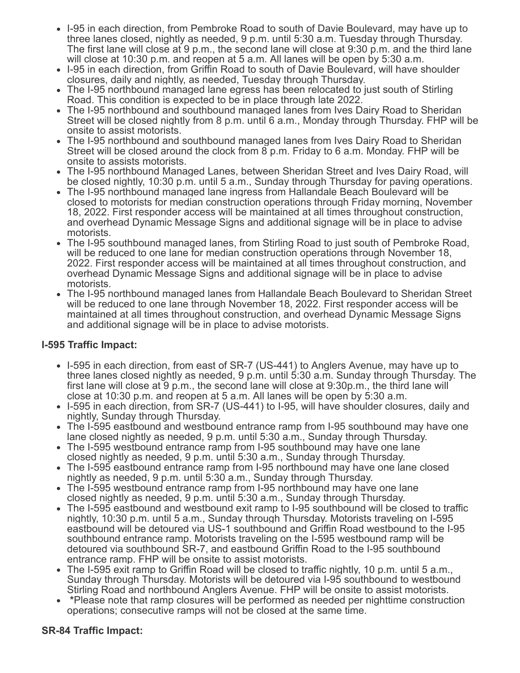- I-95 in each direction, from Pembroke Road to south of Davie Boulevard, may have up to three lanes closed, nightly as needed, 9 p.m. until 5:30 a.m. Tuesday through Thursday. The first lane will close at 9 p.m., the second lane will close at 9:30 p.m. and the third lane will close at 10:30 p.m. and reopen at 5 a.m. All lanes will be open by 5:30 a.m.
- I-95 in each direction, from Griffin Road to south of Davie Boulevard, will have shoulder closures, daily and nightly, as needed, Tuesday through Thursday.
- The I-95 northbound managed lane egress has been relocated to just south of Stirling Road. This condition is expected to be in place through late 2022.
- The I-95 northbound and southbound managed lanes from Ives Dairy Road to Sheridan Street will be closed nightly from 8 p.m. until 6 a.m., Monday through Thursday. FHP will be onsite to assist motorists.
- The I-95 northbound and southbound managed lanes from Ives Dairy Road to Sheridan Street will be closed around the clock from 8 p.m. Friday to 6 a.m. Monday. FHP will be onsite to assists motorists.
- The I-95 northbound Managed Lanes, between Sheridan Street and Ives Dairy Road, will be closed nightly, 10:30 p.m. until 5 a.m., Sunday through Thursday for paving operations.
- The I-95 northbound managed lane ingress from Hallandale Beach Boulevard will be closed to motorists for median construction operations through Friday morning, November 18, 2022. First responder access will be maintained at all times throughout construction, and overhead Dynamic Message Signs and additional signage will be in place to advise motorists.
- The I-95 southbound managed lanes, from Stirling Road to just south of Pembroke Road, will be reduced to one lane for median construction operations through November 18, 2022. First responder access will be maintained at all times throughout construction, and overhead Dynamic Message Signs and additional signage will be in place to advise motorists.
- The I-95 northbound managed lanes from Hallandale Beach Boulevard to Sheridan Street will be reduced to one lane through November 18, 2022. First responder access will be maintained at all times throughout construction, and overhead Dynamic Message Signs and additional signage will be in place to advise motorists.

# **I-595 Traffic Impact:**

- I-595 in each direction, from east of SR-7 (US-441) to Anglers Avenue, may have up to three lanes closed nightly as needed, 9 p.m. until 5:30 a.m. Sunday through Thursday. The first lane will close at 9 p.m., the second lane will close at 9:30p.m., the third lane will close at 10:30 p.m. and reopen at 5 a.m. All lanes will be open by 5:30 a.m.
- I-595 in each direction, from SR-7 (US-441) to I-95, will have shoulder closures, daily and nightly, Sunday through Thursday.
- The I-595 eastbound and westbound entrance ramp from I-95 southbound may have one lane closed nightly as needed, 9 p.m. until 5:30 a.m., Sunday through Thursday.
- The I-595 westbound entrance ramp from I-95 southbound may have one lane closed nightly as needed, 9 p.m. until 5:30 a.m., Sunday through Thursday.
- The I-595 eastbound entrance ramp from I-95 northbound may have one lane closed nightly as needed, 9 p.m. until 5:30 a.m., Sunday through Thursday.
- The I-595 westbound entrance ramp from I-95 northbound may have one lane closed nightly as needed, 9 p.m. until 5:30 a.m., Sunday through Thursday.
- The I-595 eastbound and westbound exit ramp to I-95 southbound will be closed to traffic nightly, 10:30 p.m. until 5 a.m., Sunday through Thursday. Motorists traveling on I-595 eastbound will be detoured via US-1 southbound and Griffin Road westbound to the I-95 southbound entrance ramp. Motorists traveling on the I-595 westbound ramp will be detoured via southbound SR-7, and eastbound Griffin Road to the I-95 southbound entrance ramp. FHP will be onsite to assist motorists.
- The I-595 exit ramp to Griffin Road will be closed to traffic nightly, 10 p.m. until 5 a.m., Sunday through Thursday. Motorists will be detoured via I-95 southbound to westbound Stirling Road and northbound Anglers Avenue. FHP will be onsite to assist motorists.
- **\***Please note that ramp closures will be performed as needed per nighttime construction operations; consecutive ramps will not be closed at the same time.

# **SR-84 Traffic Impact:**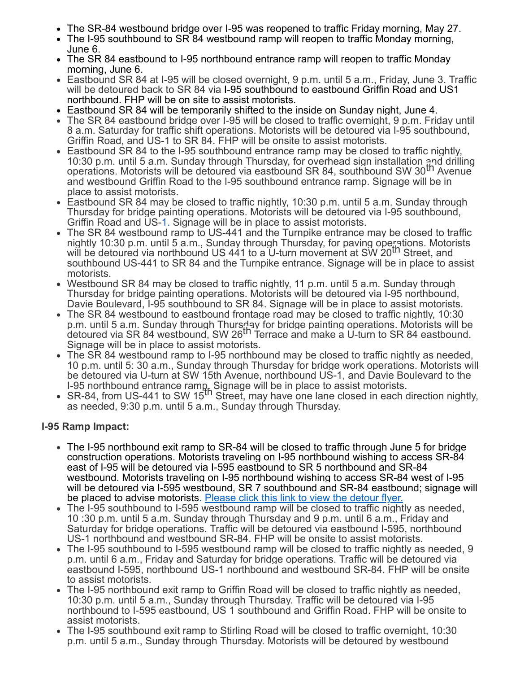- The SR-84 westbound bridge over I-95 was reopened to traffic Friday morning, May 27.
- The I-95 southbound to SR 84 westbound ramp will reopen to traffic Monday morning, June 6.
- The SR 84 eastbound to I-95 northbound entrance ramp will reopen to traffic Monday morning, June 6.
- Eastbound SR 84 at I-95 will be closed overnight, 9 p.m. until 5 a.m., Friday, June 3. Traffic will be detoured back to SR 84 via I-95 southbound to eastbound Griffin Road and US1 northbound. FHP will be on site to assist motorists.
- Eastbound SR 84 will be temporarily shifted to the inside on Sunday night, June 4.
- The SR 84 eastbound bridge over I-95 will be closed to traffic overnight, 9 p.m. Friday until 8 a.m. Saturday for traffic shift operations. Motorists will be detoured via I-95 southbound, Griffin Road, and US-1 to SR 84. FHP will be onsite to assist motorists.
- Eastbound SR 84 to the I-95 southbound entrance ramp may be closed to traffic nightly, 10:30 p.m. until 5 a.m. Sunday through Thursday, for overhead sign installation and drilling operations. Motorists will be detoured via eastbound SR 84, southbound SW 30<sup>th</sup> Avenue and westbound Griffin Road to the I-95 southbound entrance ramp. Signage will be in place to assist motorists.
- Eastbound SR 84 may be closed to traffic nightly, 10:30 p.m. until 5 a.m. Sunday through Thursday for bridge painting operations. Motorists will be detoured via I-95 southbound, Griffin Road and US[-1.](https://www.google.com/maps/search/1.+I-95?entry=gmail&source=g) Signage will be in place to assist motorists.
- The SR 84 westbound ramp to US-441 and the Turnpike entrance may be closed to traffic nightly 10:30 p.m. until 5 a.m., Sunday through Thursday, for paving operations. Motorists will be detoured via northbound US 441 to a U-turn movement at SW 20<sup>th</sup> Street, and southbound US-441 to SR 84 and the Turnpike entrance. Signage will be in place to assist motorists.
- Westbound SR 84 may be closed to traffic nightly, 11 p.m. until 5 a.m. Sunday through Thursday for bridge painting operations. Motorists will be detoured via I-95 northbound, Davie Boulevard, I-95 southbound to SR 84. Signage will be in place to assist motorists.
- The SR 84 westbound to eastbound frontage road may be closed to traffic nightly, 10:30 p.m. until 5 a.m. Sunday through Thursday for bridge painting operations. Motorists will be detoured via SR 84 westbound, SW 26th Terrace and make a U-turn to SR 84 eastbound. Signage will be in place to assist motorists.
- The SR 84 westbound ramp to I-95 northbound may be closed to traffic nightly as needed, 10 p.m. until 5: 30 a.m., Sunday through Thursday for bridge work operations. Motorists will be detoured via U-turn at SW 15th Avenue, northbound US-1, and Davie Boulevard to the
- I-95 northbound entrance ramp. Signage will be in place to assist motorists.<br>SR-84, from US-441 to SW 15<sup>th</sup> Street, may have one lane closed in each direction nightly, as needed, 9:30 p.m. until 5 a.m., Sunday through Thursday.

# **I-95 Ramp Impact:**

- The I-95 northbound exit ramp to SR-84 will be closed to traffic through June 5 for bridge construction operations. Motorists traveling on I-95 northbound wishing to access SR-84 east of I-95 will be detoured via I-595 eastbound to SR 5 northbound and SR-84 westbound. Motorists traveling on I-95 northbound wishing to access SR-84 west of I-95 will be detoured via I-595 westbound, SR 7 southbound and SR-84 eastbound; signage will be placed to advise motorists. [Please click this link to view the detour flyer.](https://r20.rs6.net/tn.jsp?f=001kZWI8ZZYZo_kWWZ9cHtbMtP_FHn9b8iwqy_yN1QduxXCwQ29TYSC6JTWGRmZTSfl_GYOQzG1WFxWOd_bATCz-_TX0CXL1dGWHwh4wDN4FVlNhMtM3LihTrnYtRRIii7DAe6RAyYmKqSdd0--3La-wy4Ri_guqFdo0TnvkllGotJC6MbPpbmCEFGR6vTX-7hWjAZaH8V0WB15jvBQoLgPCVKwK5Q780Ukld9TzCEFdOIltSZiSphQoqzgRV0c6fzIzlekMc37_Sdqz0TMLphzz1wlYW-rd3Bau88a8SwbKFz3z5v-OfEaFZKFvunMQMUmnSRF7ZaKNCFfiLhOxVhbsmGF0VSJcNxpRFmLdezBePjyOnHqhxijCbjmgY2FngGgsNA3CcTXEqP4qT7PbwrdqpsISFUVKJ0wGeftU3yxxbzwpK9G-mSwrmIzEpncV53BxU-r8uKX2mkDJlK7UyJJlXHoJ-Kc9FwVooNQbNZpILJm9ToxN-R8vdJDcCH9DhHm1XhRkpQzq_xtUMK9AV6Wf0wMNmN3hpM-ipVdT8lcLsqOYxTJKLcjsMqxR0IHZK3edHU4RsFJGuXY41Q7LBm5NZcwZf41emhvzdwBBk_0sXEQremGtKBz7W_0yUo8PKubijnUT3gFolbcoTgLNckeDGBB_V_zScz6md1jHKAkg8NPeEV6ruFd2c1VOUugh61DK4JgV8P7aEiuZ2RCDuQnN9vsE6417_eUh5UPQdealNnSpn3WcHevLMu9lXa0H3Vlu8yGLofIQviska_wuKQ4WBLM5jylsW_RDgDSpWZgvjOd4Cyepfvd3pnEOREpM-RAmpRJpSJyji3xl4l5-cwCVcbZ3MIxz2aPAVD4oBCI9capA9OaZyCnGydi_DLPaGu5LldMnxlMgorKQ94Cnha-8YwPTcC4wESf7DUhPsFenI98hQucPG7g2xsqXzT8Z05nlQWFPTWrhsWRwFi6WdTJBd7W4CJBl5gSRwMpt5fJU8E_l2REdPHfKimV5Ae_kdFKqBDv03alPeLTEKwSdZ8V2lf5HGwJgk_bUaLBA_Lqxq1MfqNHA1-LXtDG0q8zTOYXveN0Wdxcy5DCXhSu9QCsKA_ypvDc7MyUkbUjiJd6HEBM9HAp0bui8Aadrvzro40a3wGIqaeb6vSy6HX7S_OCqoeMmxLvqF6YybZcfbxBb1b67Vla8rXmAT5d8p2vrDla-qLJ5rMx5VlL9edCrGIAUWmPOxq9kYB-imfidi_nBghCht-58p8o1m6weuqNVzXm&c=HlmBFwjhLgVDCbsSLlMoK3Kji1iYEvoOeuOwWT9NavH9oR1s7fQERQ==&ch=MNwiG2Jr2urAXhCKvz0IZnUcUUiCw1C2aKpWxVK4iFogFdhLdd7qJA==)
- The I-95 southbound to I-595 westbound ramp will be closed to traffic nightly as needed, 10 :30 p.m. until 5 a.m. Sunday through Thursday and 9 p.m. until 6 a.m., Friday and Saturday for bridge operations. Traffic will be detoured via eastbound I-595, northbound US-1 northbound and westbound SR-84. FHP will be onsite to assist motorists.
- The I-95 southbound to I-595 westbound ramp will be closed to traffic nightly as needed, 9 p.m. until 6 a.m., Friday and Saturday for bridge operations. Traffic will be detoured via eastbound I-595, northbound US-1 northbound and westbound SR-84. FHP will be onsite to assist motorists.
- The I-95 northbound exit ramp to Griffin Road will be closed to traffic nightly as needed. 10:30 p.m. until 5 a.m., Sunday through Thursday. Traffic will be detoured via I-95 northbound to I-595 eastbound, US 1 southbound and Griffin Road. FHP will be onsite to assist motorists.
- The I-95 southbound exit ramp to Stirling Road will be closed to traffic overnight, 10:30 p.m. until 5 a.m., Sunday through Thursday. Motorists will be detoured by westbound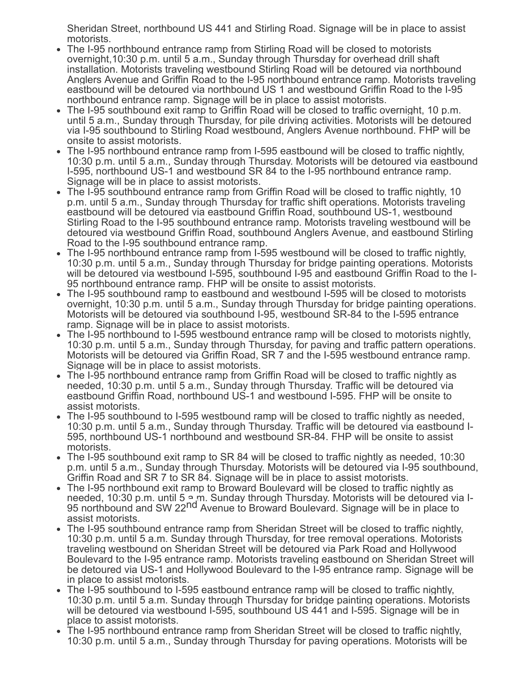Sheridan Street, northbound US 441 and Stirling Road. Signage will be in place to assist motorists.

- The I-95 northbound entrance ramp from Stirling Road will be closed to motorists overnight,10:30 p.m. until 5 a.m., Sunday through Thursday for overhead drill shaft installation. Motorists traveling westbound Stirling Road will be detoured via northbound Anglers Avenue and Griffin Road to the I-95 northbound entrance ramp. Motorists traveling eastbound will be detoured via northbound US 1 and westbound Griffin Road to the I-95 northbound entrance ramp. Signage will be in place to assist motorists.
- The I-95 southbound exit ramp to Griffin Road will be closed to traffic overnight, 10 p.m. until 5 a.m., Sunday through Thursday, for pile driving activities. Motorists will be detoured via I-95 southbound to Stirling Road westbound, Anglers Avenue northbound. FHP will be onsite to assist motorists.
- The I-95 northbound entrance ramp from I-595 eastbound will be closed to traffic nightly, 10:30 p.m. until 5 a.m., Sunday through Thursday. Motorists will be detoured via eastbound I-595, northbound US-1 and westbound SR 84 to the I-95 northbound entrance ramp. Signage will be in place to assist motorists.
- The I-95 southbound entrance ramp from Griffin Road will be closed to traffic nightly, 10 p.m. until 5 a.m., Sunday through Thursday for traffic shift operations. Motorists traveling eastbound will be detoured via eastbound Griffin Road, southbound US-1, westbound Stirling Road to the I-95 southbound entrance ramp. Motorists traveling westbound will be detoured via westbound Griffin Road, southbound Anglers Avenue, and eastbound Stirling Road to the I-95 southbound entrance ramp.
- The I-95 northbound entrance ramp from I-595 westbound will be closed to traffic nightly, 10:30 p.m. until 5 a.m., Sunday through Thursday for bridge painting operations. Motorists will be detoured via westbound I-595, southbound I-95 and eastbound Griffin Road to the I-95 northbound entrance ramp. FHP will be onsite to assist motorists.
- The I-95 southbound ramp to eastbound and westbound I-595 will be closed to motorists overnight, 10:30 p.m. until 5 a.m., Sunday through Thursday for bridge painting operations. Motorists will be detoured via southbound I-95, westbound SR-84 to the I-595 entrance ramp. Signage will be in place to assist motorists.
- The I-95 northbound to I-595 westbound entrance ramp will be closed to motorists nightly, 10:30 p.m. until 5 a.m., Sunday through Thursday, for paving and traffic pattern operations. Motorists will be detoured via Griffin Road, SR 7 and the I-595 westbound entrance ramp. Signage will be in place to assist motorists.
- The I-95 northbound entrance ramp from Griffin Road will be closed to traffic nightly as needed, 10:30 p.m. until 5 a.m., Sunday through Thursday. Traffic will be detoured via eastbound Griffin Road, northbound US-1 and westbound I-595. FHP will be onsite to assist motorists.
- The I-95 southbound to I-595 westbound ramp will be closed to traffic nightly as needed, 10:30 p.m. until 5 a.m., Sunday through Thursday. Traffic will be detoured via eastbound I-595, northbound US-1 northbound and westbound SR-84. FHP will be onsite to assist motorists.
- The I-95 southbound exit ramp to SR 84 will be closed to traffic nightly as needed, 10:30 p.m. until 5 a.m., Sunday through Thursday. Motorists will be detoured via I-95 southbound, Griffin Road and SR 7 to SR 84. Signage will be in place to assist motorists.
- The I-95 northbound exit ramp to Broward Boulevard will be closed to traffic nightly as needed, 10:30 p.m. until 5 <u>a.m. Sunday through Thursday</u>. Motorists will be detoured via I-<br>95 northbound and SW 22<sup>nd</sup> Avenue to Broward Boulevard. Signage will be in place to assist motorists.
- The I-95 southbound entrance ramp from Sheridan Street will be closed to traffic nightly, 10:30 p.m. until 5 a.m. Sunday through Thursday, for tree removal operations. Motorists traveling westbound on Sheridan Street will be detoured via Park Road and Hollywood Boulevard to the I-95 entrance ramp. Motorists traveling eastbound on Sheridan Street will be detoured via US-1 and Hollywood Boulevard to the I-95 entrance ramp. Signage will be in place to assist motorists.
- The I-95 southbound to I-595 eastbound entrance ramp will be closed to traffic nightly. 10:30 p.m. until 5 a.m. Sunday through Thursday for bridge painting operations. Motorists will be detoured via westbound I-595, southbound US 441 and I-595. Signage will be in place to assist motorists.
- The I-95 northbound entrance ramp from Sheridan Street will be closed to traffic nightly, 10:30 p.m. until 5 a.m., Sunday through Thursday for paving operations. Motorists will be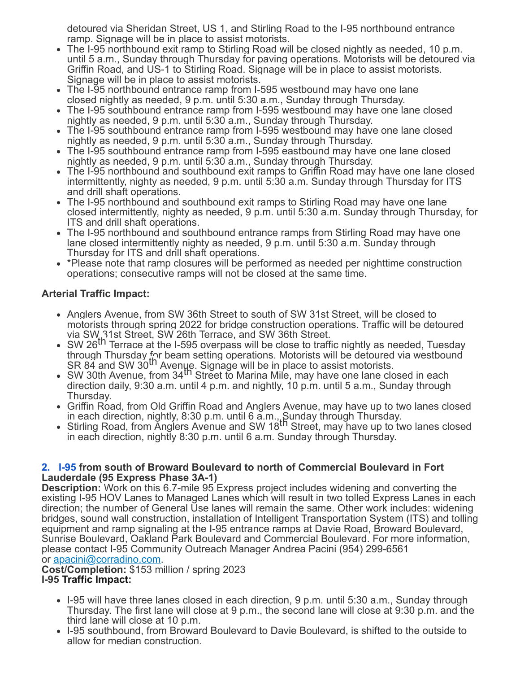detoured via Sheridan Street, US 1, and Stirling Road to the I-95 northbound entrance ramp. Signage will be in place to assist motorists.

- The I-95 northbound exit ramp to Stirling Road will be closed nightly as needed, 10 p.m. until 5 a.m., Sunday through Thursday for paving operations. Motorists will be detoured via Griffin Road, and US-1 to Stirling Road. Signage will be in place to assist motorists. Signage will be in place to assist motorists.
- The I-95 northbound entrance ramp from I-595 westbound may have one lane closed nightly as needed, 9 p.m. until 5:30 a.m., Sunday through Thursday.
- The I-95 southbound entrance ramp from I-595 westbound may have one lane closed nightly as needed, 9 p.m. until 5:30 a.m., Sunday through Thursday.
- The I-95 southbound entrance ramp from I-595 westbound may have one lane closed nightly as needed, 9 p.m. until 5:30 a.m., Sunday through Thursday.
- The I-95 southbound entrance ramp from I-595 eastbound may have one lane closed nightly as needed, 9 p.m. until 5:30 a.m., Sunday through Thursday.
- The I-95 northbound and southbound exit ramps to Griffin Road may have one lane closed intermittently, nighty as needed, 9 p.m. until 5:30 a.m. Sunday through Thursday for ITS and drill shaft operations.
- The I-95 northbound and southbound exit ramps to Stirling Road may have one lane closed intermittently, nighty as needed, 9 p.m. until 5:30 a.m. Sunday through Thursday, for ITS and drill shaft operations.
- The I-95 northbound and southbound entrance ramps from Stirling Road may have one lane closed intermittently nighty as needed, 9 p.m. until 5:30 a.m. Sunday through Thursday for ITS and drill shaft operations.
- \*Please note that ramp closures will be performed as needed per nighttime construction operations; consecutive ramps will not be closed at the same time.

# **Arterial Traffic Impact:**

- Anglers Avenue, from SW 36th Street to south of SW 31st Street, will be closed to motorists through spring 2022 for bridge construction operations. Traffic will be detoured via SW, 31st Street, SW 26th Terrace, and SW 36th Street.
- SW 26<sup>th</sup> Terrace at the I-595 overpass will be close to traffic nightly as needed, Tuesday through Thursday for beam setting operations. Motorists will be detoured via westbound<br>SR 84 and SW 30<sup>th</sup> Aven<u>ue</u>. Signage will be in place to assist motorists.
- SK 64 and SW 50 M Worldo: Oignage will be in place to assist motonsts.<br>SW 30th Avenue, from 34<sup>th</sup> Street to Marina Mile, may have one lane closed in each direction daily, 9:30 a.m. until 4 p.m. and nightly, 10 p.m. until 5 a.m., Sunday through Thursday.
- Griffin Road, from Old Griffin Road and Anglers Avenue, may have up to two lanes closed
- in each direction, nightly, 8:30 p.m. until 6 a.m., Sunday through Thursday.<br>Stirling Road, from Anglers Avenue and SW 18<sup>th</sup> Street, may have up to two lanes closed in each direction, nightly 8:30 p.m. until 6 a.m. Sunday through Thursday.

## **[2.](https://www.google.com/maps/search/2.+I-95?entry=gmail&source=g) [I-95](https://www.google.com/maps/search/2.+I-95?entry=gmail&source=g) from south of Broward Boulevard to north of Commercial Boulevard in Fort Lauderdale (95 Express Phase 3A-1)**

**Description:** Work on this 6.7-mile 95 Express project includes widening and converting the existing I-95 HOV Lanes to Managed Lanes which will result in two tolled Express Lanes in each direction; the number of General Use lanes will remain the same. Other work includes: widening bridges, sound wall construction, installation of Intelligent Transportation System (ITS) and tolling equipment and ramp signaling at the I-95 entrance ramps at Davie Road, Broward Boulevard, Sunrise Boulevard, Oakland Park Boulevard and Commercial Boulevard. For more information, please contact I-95 Community Outreach Manager Andrea Pacini (954) 299-6561 or [apacini@corradino.com](mailto:apacini@corradino.com).

**Cost/Completion:** \$153 million / spring 2023

- **I-95 Traffic Impact:**
	- I-95 will have three lanes closed in each direction, 9 p.m. until 5:30 a.m., Sunday through Thursday. The first lane will close at 9 p.m., the second lane will close at 9:30 p.m. and the third lane will close at 10 p.m.
	- I-95 southbound, from Broward Boulevard to Davie Boulevard, is shifted to the outside to allow for median construction.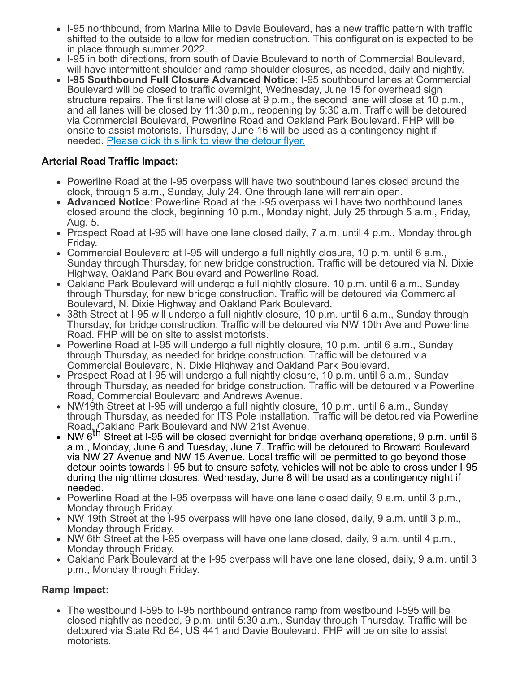- I-95 northbound, from Marina Mile to Davie Boulevard, has a new traffic pattern with traffic shifted to the outside to allow for median construction. This configuration is expected to be in place through summer 2022.
- I-95 in both directions, from south of Davie Boulevard to north of Commercial Boulevard, will have intermittent shoulder and ramp shoulder closures, as needed, daily and nightly.
- **I-95 Southbound Full Closure Advanced Notice:** I-95 southbound lanes at Commercial Boulevard will be closed to traffic overnight, Wednesday, June 15 for overhead sign structure repairs. The first lane will close at 9 p.m., the second lane will close at 10 p.m., and all lanes will be closed by 11:30 p.m., reopening by 5:30 a.m. Traffic will be detoured via Commercial Boulevard, Powerline Road and Oakland Park Boulevard. FHP will be onsite to assist motorists. Thursday, June 16 will be used as a contingency night if needed. [Please click this link to view the detour flyer.](https://r20.rs6.net/tn.jsp?f=001kZWI8ZZYZo_kWWZ9cHtbMtP_FHn9b8iwqy_yN1QduxXCwQ29TYSC6CEsje71TLHhLsNka97gvuQPQ8XtVWJbBE5DrezV6-EoW8ANjQ6bJQDynqs1QZU01bbdiA1XvMaKjtZCTFg4xg0SmCqe3liZyuM-3SA6lJVRd5uFez3Rmb-986pw8dW0FLWXLi-teHfZcb5pTCcj3lEEOMnuINnEktGXUBOkV5e_8QlaaT8XgY3EkdWaVFU8FA==&c=HlmBFwjhLgVDCbsSLlMoK3Kji1iYEvoOeuOwWT9NavH9oR1s7fQERQ==&ch=MNwiG2Jr2urAXhCKvz0IZnUcUUiCw1C2aKpWxVK4iFogFdhLdd7qJA==)

# **Arterial Road Traffic Impact:**

- Powerline Road at the I-95 overpass will have two southbound lanes closed around the clock, through 5 a.m., Sunday, July 24. One through lane will remain open.
- **Advanced Notice**: Powerline Road at the I-95 overpass will have two northbound lanes closed around the clock, beginning 10 p.m., Monday night, July 25 through 5 a.m., Friday, Aug. 5.
- Prospect Road at I-95 will have one lane closed daily, 7 a.m. until 4 p.m., Monday through Friday.
- Commercial Boulevard at I-95 will undergo a full nightly closure, 10 p.m. until 6 a.m., Sunday through Thursday, for new bridge construction. Traffic will be detoured via N. Dixie Highway, Oakland Park Boulevard and Powerline Road.
- Oakland Park Boulevard will undergo a full nightly closure, 10 p.m. until 6 a.m., Sunday through Thursday, for new bridge construction. Traffic will be detoured via Commercial Boulevard, N. Dixie Highway and Oakland Park Boulevard.
- 38th Street at I-95 will undergo a full nightly closure, 10 p.m. until 6 a.m., Sunday through Thursday, for bridge construction. Traffic will be detoured via NW 10th Ave and Powerline Road. FHP will be on site to assist motorists.
- Powerline Road at I-95 will undergo a full nightly closure, 10 p.m. until 6 a.m., Sunday through Thursday, as needed for bridge construction. Traffic will be detoured via Commercial Boulevard, N. Dixie Highway and Oakland Park Boulevard.
- Prospect Road at I-95 will undergo a full nightly closure, 10 p.m. until 6 a.m., Sunday through Thursday, as needed for bridge construction. Traffic will be detoured via Powerline Road, Commercial Boulevard and Andrews Avenue.
- NW19th Street at I-95 will undergo a full nightly closure, 10 p.m. until 6 a.m., Sunday through Thursday, as needed for ITS Pole installation. Traffic will be detoured via Powerline Road, Oakland Park Boulevard and NW 21st Avenue.
- NW 6<sup>th</sup> Street at I-95 will be closed overnight for bridge overhang operations, 9 p.m. until 6 a.m., Monday, June 6 and Tuesday, June 7. Traffic will be detoured to Broward Boulevard via NW 27 Avenue and NW 15 Avenue. Local traffic will be permitted to go beyond those detour points towards I-95 but to ensure safety, vehicles will not be able to cross under I-95 during the nighttime closures. Wednesday, June 8 will be used as a contingency night if needed.
- Powerline Road at the I-95 overpass will have one lane closed daily, 9 a.m. until 3 p.m., Monday through Friday.
- NW 19th Street at the I-95 overpass will have one lane closed, daily, 9 a.m. until 3 p.m., Monday through Friday.
- NW 6th Street at the I-95 overpass will have one lane closed, daily, 9 a.m. until 4 p.m., Monday through Friday.
- Oakland Park Boulevard at the I-95 overpass will have one lane closed, daily, 9 a.m. until 3 p.m., Monday through Friday.

# **Ramp Impact:**

The westbound I-595 to I-95 northbound entrance ramp from westbound I-595 will be closed nightly as needed, 9 p.m. until 5:30 a.m., Sunday through Thursday. Traffic will be detoured via State Rd 84, US 441 and Davie Boulevard. FHP will be on site to assist motorists.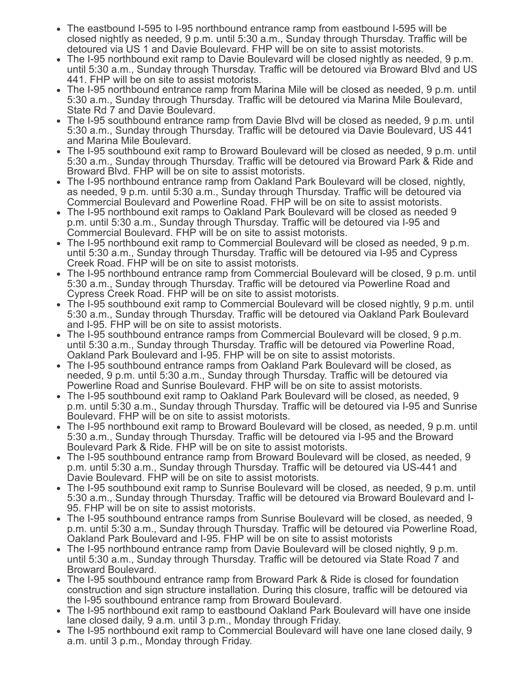- The eastbound I-595 to I-95 northbound entrance ramp from eastbound I-595 will be closed nightly as needed, 9 p.m. until 5:30 a.m., Sunday through Thursday. Traffic will be detoured via US 1 and Davie Boulevard. FHP will be on site to assist motorists.
- The I-95 northbound exit ramp to Davie Boulevard will be closed nightly as needed, 9 p.m. until 5:30 a.m., Sunday through Thursday. Traffic will be detoured via Broward Blvd and US 441. FHP will be on site to assist motorists.
- The I-95 northbound entrance ramp from Marina Mile will be closed as needed, 9 p.m. until 5:30 a.m., Sunday through Thursday. Traffic will be detoured via Marina Mile Boulevard, State Rd 7 and Davie Boulevard.
- The I-95 southbound entrance ramp from Davie Blvd will be closed as needed, 9 p.m. until 5:30 a.m., Sunday through Thursday. Traffic will be detoured via Davie Boulevard, US 441 and Marina Mile Boulevard.
- The I-95 southbound exit ramp to Broward Boulevard will be closed as needed, 9 p.m. until 5:30 a.m., Sunday through Thursday. Traffic will be detoured via Broward Park & Ride and Broward Blvd. FHP will be on site to assist motorists.
- The I-95 northbound entrance ramp from Oakland Park Boulevard will be closed, nightly, as needed, 9 p.m. until 5:30 a.m., Sunday through Thursday. Traffic will be detoured via Commercial Boulevard and Powerline Road. FHP will be on site to assist motorists.
- The I-95 northbound exit ramps to Oakland Park Boulevard will be closed as needed 9 p.m. until 5:30 a.m., Sunday through Thursday. Traffic will be detoured via I-95 and Commercial Boulevard. FHP will be on site to assist motorists.
- The I-95 northbound exit ramp to Commercial Boulevard will be closed as needed, 9 p.m. until 5:30 a.m., Sunday through Thursday. Traffic will be detoured via I-95 and Cypress Creek Road. FHP will be on site to assist motorists.
- The I-95 northbound entrance ramp from Commercial Boulevard will be closed, 9 p.m. until 5:30 a.m., Sunday through Thursday. Traffic will be detoured via Powerline Road and Cypress Creek Road. FHP will be on site to assist motorists.
- The I-95 southbound exit ramp to Commercial Boulevard will be closed nightly, 9 p.m. until 5:30 a.m., Sunday through Thursday. Traffic will be detoured via Oakland Park Boulevard and I-95. FHP will be on site to assist motorists.
- The I-95 southbound entrance ramps from Commercial Boulevard will be closed, 9 p.m. until 5:30 a.m., Sunday through Thursday. Traffic will be detoured via Powerline Road, Oakland Park Boulevard and I-95. FHP will be on site to assist motorists.
- The I-95 southbound entrance ramps from Oakland Park Boulevard will be closed, as needed, 9 p.m. until 5:30 a.m., Sunday through Thursday. Traffic will be detoured via Powerline Road and Sunrise Boulevard. FHP will be on site to assist motorists.
- The I-95 southbound exit ramp to Oakland Park Boulevard will be closed, as needed, 9 p.m. until 5:30 a.m., Sunday through Thursday. Traffic will be detoured via I-95 and Sunrise Boulevard. FHP will be on site to assist motorists.
- The I-95 northbound exit ramp to Broward Boulevard will be closed, as needed, 9 p.m. until 5:30 a.m., Sunday through Thursday. Traffic will be detoured via I-95 and the Broward Boulevard Park & Ride. FHP will be on site to assist motorists.
- The I-95 southbound entrance ramp from Broward Boulevard will be closed, as needed, 9 p.m. until 5:30 a.m., Sunday through Thursday. Traffic will be detoured via US-441 and Davie Boulevard. FHP will be on site to assist motorists.
- The I-95 southbound exit ramp to Sunrise Boulevard will be closed, as needed, 9 p.m. until 5:30 a.m., Sunday through Thursday. Traffic will be detoured via Broward Boulevard and I-95. FHP will be on site to assist motorists.
- The I-95 southbound entrance ramps from Sunrise Boulevard will be closed, as needed, 9 p.m. until 5:30 a.m., Sunday through Thursday. Traffic will be detoured via Powerline Road, Oakland Park Boulevard and I-95. FHP will be on site to assist motorists
- The I-95 northbound entrance ramp from Davie Boulevard will be closed nightly, 9 p.m. until 5:30 a.m., Sunday through Thursday. Traffic will be detoured via State Road 7 and Broward Boulevard.
- The I-95 southbound entrance ramp from Broward Park & Ride is closed for foundation construction and sign structure installation. During this closure, traffic will be detoured via the I-95 southbound entrance ramp from Broward Boulevard.
- The I-95 northbound exit ramp to eastbound Oakland Park Boulevard will have one inside lane closed daily, 9 a.m. until 3 p.m., Monday through Friday.
- The I-95 northbound exit ramp to Commercial Boulevard will have one lane closed daily, 9 a.m. until 3 p.m., Monday through Friday.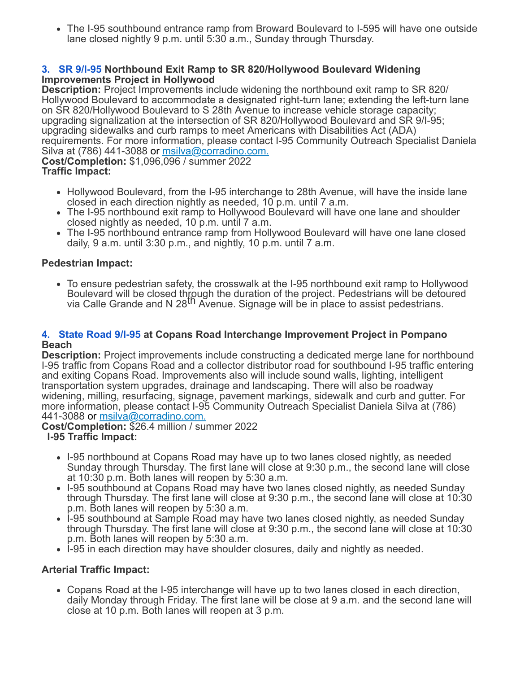The I-95 southbound entrance ramp from Broward Boulevard to I-595 will have one outside lane closed nightly 9 p.m. until 5:30 a.m., Sunday through Thursday.

## **[3.](https://www.google.com/maps/search/3.+SR+9%2FI-95?entry=gmail&source=g) [SR 9/I-95](https://www.google.com/maps/search/3.+SR+9%2FI-95?entry=gmail&source=g) Northbound Exit Ramp to SR 820/Hollywood Boulevard Widening Improvements Project in Hollywood**

**Description:** Project Improvements include widening the northbound exit ramp to SR 820/ Hollywood Boulevard to accommodate a designated right-turn lane; extending the left-turn lane on SR 820/Hollywood Boulevard to S 28th Avenue to increase vehicle storage capacity; upgrading signalization at the intersection of SR 820/Hollywood Boulevard and SR 9/I-95; upgrading sidewalks and curb ramps to meet Americans with Disabilities Act (ADA) requirements. For more information, please contact I-95 Community Outreach Specialist Daniela Silva at (786) 441-3088 or [msilva@corradino.com.](mailto:msilva@corradino.com.) **Cost/Completion:** \$1,096,096 / summer 2022

## **Traffic Impact:**

- Hollywood Boulevard, from the I-95 interchange to 28th Avenue, will have the inside lane closed in each direction nightly as needed, 10 p.m. until 7 a.m.
- The I-95 northbound exit ramp to Hollywood Boulevard will have one lane and shoulder closed nightly as needed, 10 p.m. until 7 a.m.
- The I-95 northbound entrance ramp from Hollywood Boulevard will have one lane closed daily, 9 a.m. until 3:30 p.m., and nightly, 10 p.m. until 7 a.m.

# **Pedestrian Impact:**

• To ensure pedestrian safety, the crosswalk at the I-95 northbound exit ramp to Hollywood Boulevard will be closed through the duration of the project. Pedestrians will be detoured<br>via Calle Grande and N 28<sup>th</sup> Avenue. Signage will be in place to assist pedestrians.

## **[4.](https://www.google.com/maps/search/4.+State+Road+9%2FI-95?entry=gmail&source=g) [State Road 9/I-95](https://www.google.com/maps/search/4.+State+Road+9%2FI-95?entry=gmail&source=g) at Copans Road Interchange Improvement Project in Pompano Beach**

**Description:** Project improvements include constructing a dedicated merge lane for northbound I-95 traffic from Copans Road and a collector distributor road for southbound I-95 traffic entering and exiting Copans Road. Improvements also will include sound walls, lighting, intelligent transportation system upgrades, drainage and landscaping. There will also be roadway widening, milling, resurfacing, signage, pavement markings, sidewalk and curb and gutter. For more information, please contact I-95 Community Outreach Specialist Daniela Silva at (786) 441-3088 or [msilva@corradino.com.](mailto:msilva@corradino.com.)

**Cost/Completion:** \$26.4 million / summer 2022

# **I-95 Traffic Impact:**

- I-95 northbound at Copans Road may have up to two lanes closed nightly, as needed Sunday through Thursday. The first lane will close at 9:30 p.m., the second lane will close at 10:30 p.m. Both lanes will reopen by 5:30 a.m.
- I-95 southbound at Copans Road may have two lanes closed nightly, as needed Sunday through Thursday. The first lane will close at 9:30 p.m., the second lane will close at 10:30 p.m. Both lanes will reopen by 5:30 a.m.
- I-95 southbound at Sample Road may have two lanes closed nightly, as needed Sunday through Thursday. The first lane will close at 9:30 p.m., the second lane will close at 10:30 p.m. Both lanes will reopen by 5:30 a.m.
- I-95 in each direction may have shoulder closures, daily and nightly as needed.

# **Arterial Traffic Impact:**

Copans Road at the I-95 interchange will have up to two lanes closed in each direction, daily Monday through Friday. The first lane will be close at 9 a.m. and the second lane will close at 10 p.m. Both lanes will reopen at 3 p.m.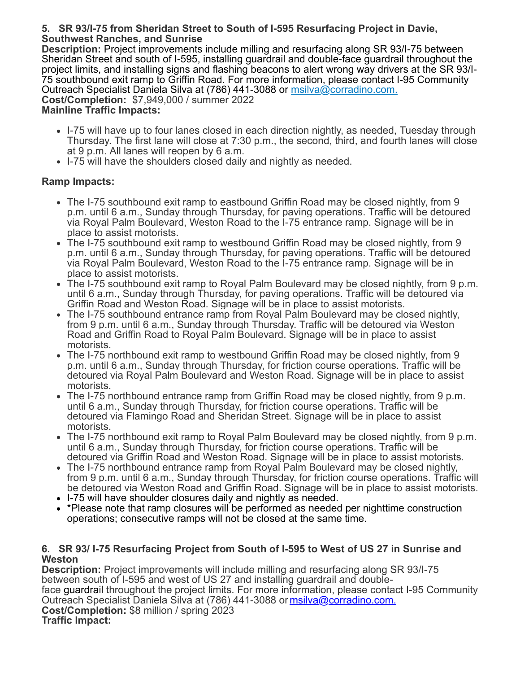## **5. SR 93/I-75 from Sheridan Street to South of I-595 Resurfacing Project in Davie, Southwest Ranches, and Sunrise**

**Description:** Project improvements include milling and resurfacing along SR 93/I-75 between Sheridan Street and south of I-595, installing guardrail and double-face guardrail throughout the project limits, and installing signs and flashing beacons to alert wrong way drivers at the SR 93/I-75 southbound exit ramp to Griffin Road. For more information, please contact I-95 Community Outreach Specialist Daniela Silva at (786) 441-3088 or [msilva@corradino.com.](mailto:msilva@corradino.com.) **Cost/Completion:** \$7,949,000 / summer 2022 **Mainline Traffic Impacts:**

- I-75 will have up to four lanes closed in each direction nightly, as needed, Tuesday through Thursday. The first lane will close at 7:30 p.m., the second, third, and fourth lanes will close at 9 p.m. All lanes will reopen by 6 a.m.
- I-75 will have the shoulders closed daily and nightly as needed.

# **Ramp Impacts:**

- The I-75 southbound exit ramp to eastbound Griffin Road may be closed nightly, from 9 p.m. until 6 a.m., Sunday through Thursday, for paving operations. Traffic will be detoured via Royal Palm Boulevard, Weston Road to the I-75 entrance ramp. Signage will be in place to assist motorists.
- The I-75 southbound exit ramp to westbound Griffin Road may be closed nightly, from 9 p.m. until 6 a.m., Sunday through Thursday, for paving operations. Traffic will be detoured via Royal Palm Boulevard, Weston Road to the I-75 entrance ramp. Signage will be in place to assist motorists.
- The I-75 southbound exit ramp to Royal Palm Boulevard may be closed nightly, from 9 p.m. until 6 a.m., Sunday through Thursday, for paving operations. Traffic will be detoured via Griffin Road and Weston Road. Signage will be in place to assist motorists.
- The I-75 southbound entrance ramp from Royal Palm Boulevard may be closed nightly, from 9 p.m. until 6 a.m., Sunday through Thursday. Traffic will be detoured via Weston Road and Griffin Road to Royal Palm Boulevard. Signage will be in place to assist motorists.
- The I-75 northbound exit ramp to westbound Griffin Road may be closed nightly, from 9 p.m. until 6 a.m., Sunday through Thursday, for friction course operations. Traffic will be detoured via Royal Palm Boulevard and Weston Road. Signage will be in place to assist motorists.
- The I-75 northbound entrance ramp from Griffin Road may be closed nightly, from 9 p.m. until 6 a.m., Sunday through Thursday, for friction course operations. Traffic will be detoured via Flamingo Road and Sheridan Street. Signage will be in place to assist motorists.
- The I-75 northbound exit ramp to Royal Palm Boulevard may be closed nightly, from 9 p.m. until 6 a.m., Sunday through Thursday, for friction course operations. Traffic will be detoured via Griffin Road and Weston Road. Signage will be in place to assist motorists.
- The I-75 northbound entrance ramp from Royal Palm Boulevard may be closed nightly, from 9 p.m. until 6 a.m., Sunday through Thursday, for friction course operations. Traffic will be detoured via Weston Road and Griffin Road. Signage will be in place to assist motorists.
- I-75 will have shoulder closures daily and nightly as needed.
- \*Please note that ramp closures will be performed as needed per nighttime construction operations; consecutive ramps will not be closed at the same time.

## **6. SR 93/ I-75 Resurfacing Project from South of I-595 to West of US 27 in Sunrise and Weston**

**Description:** Project improvements will include milling and resurfacing along SR 93/I-75 between south of I-595 and west of US 27 and installing guardrail and doubleface guardrail throughout the project limits. For more information, please contact I-95 Community Outreach Specialist Daniela Silva at (786) 441-3088 or [msilva@corradino.com.](mailto:msilva@corradino.com.) **Cost/Completion:** \$8 million / spring 2023 **Traffic Impact:**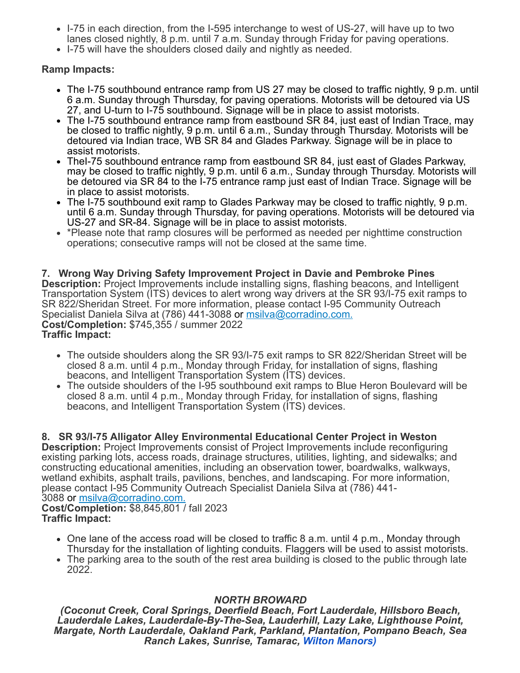- I-75 in each direction, from the I-595 interchange to west of US-27, will have up to two lanes closed nightly, 8 p.m. until 7 a.m. Sunday through Friday for paving operations.
- I-75 will have the shoulders closed daily and nightly as needed.

# **Ramp Impacts:**

- The I-75 southbound entrance ramp from US 27 may be closed to traffic nightly, 9 p.m. until 6 a.m. Sunday through Thursday, for paving operations. Motorists will be detoured via US 27, and U-turn to I-75 southbound. Signage will be in place to assist motorists.
- The I-75 southbound entrance ramp from eastbound SR 84, just east of Indian Trace, may be closed to traffic nightly, 9 p.m. until 6 a.m., Sunday through Thursday. Motorists will be detoured via Indian trace, WB SR 84 and Glades Parkway. Signage will be in place to assist motorists.
- Thel-75 southbound entrance ramp from eastbound SR 84, just east of Glades Parkway, may be closed to traffic nightly, 9 p.m. until 6 a.m., Sunday through Thursday. Motorists will be detoured via SR 84 to the I-75 entrance ramp just east of Indian Trace. Signage will be in place to assist motorists.
- The I-75 southbound exit ramp to Glades Parkway may be closed to traffic nightly, 9 p.m. until 6 a.m. Sunday through Thursday, for paving operations. Motorists will be detoured via US-27 and SR-84. Signage will be in place to assist motorists.
- \*Please note that ramp closures will be performed as needed per nighttime construction operations; consecutive ramps will not be closed at the same time.

#### **7. Wrong Way Driving Safety Improvement Project in Davie and Pembroke Pines Description:** Project Improvements include installing signs, flashing beacons, and Intelligent Transportation System (ITS) devices to alert wrong way drivers at the SR 93/I-75 exit ramps to SR 822/Sheridan Street. For more information, please contact I-95 Community Outreach Specialist Daniela Silva at (786) 441-3088 or [msilva@corradino.com.](mailto:msilva@corradino.com.) **Cost/Completion:** \$745,355 / summer 2022 **Traffic Impact:**

- The outside shoulders along the SR 93/I-75 exit ramps to SR 822/Sheridan Street will be closed 8 a.m. until 4 p.m., Monday through Friday, for installation of signs, flashing beacons, and Intelligent Transportation System (ITS) devices.
- The outside shoulders of the I-95 southbound exit ramps to Blue Heron Boulevard will be closed 8 a.m. until 4 p.m., Monday through Friday, for installation of signs, flashing beacons, and Intelligent Transportation System (ITS) devices.

# **8. SR 93/I-75 Alligator Alley Environmental Educational Center Project in Weston**

**Description:** Project Improvements consist of Project Improvements include reconfiguring existing parking lots, access roads, drainage structures, utilities, lighting, and sidewalks; and constructing educational amenities, including an observation tower, boardwalks, walkways, wetland exhibits, asphalt trails, pavilions, benches, and landscaping. For more information, please contact I-95 Community Outreach Specialist Daniela Silva at (786) 441- 3088 or [msilva@corradino.com.](mailto:msilva@corradino.com.) **Cost/Completion:** \$8,845,801 / fall 2023

**Traffic Impact:**

- $\bullet$  One lane of the access road will be closed to traffic 8 a.m. until 4 p.m., Monday through Thursday for the installation of lighting conduits. Flaggers will be used to assist motorists.
- The parking area to the south of the rest area building is closed to the public through late 2022.

# *NORTH BROWARD*

*(Coconut Creek, Coral Springs, Deerfield Beach, Fort Lauderdale, Hillsboro Beach, Lauderdale Lakes, Lauderdale-By-The-Sea, Lauderhill, Lazy Lake, Lighthouse Point, Margate, North Lauderdale, Oakland Park, Parkland, Plantation, Pompano Beach, Sea Ranch Lakes, Sunrise, Tamarac, [Wilton Manors\)](https://www.google.com/maps/search/Wilton+Manors)+%0D%0A+%0D%0A+%0D%0A+9.+NW+31?entry=gmail&source=g)*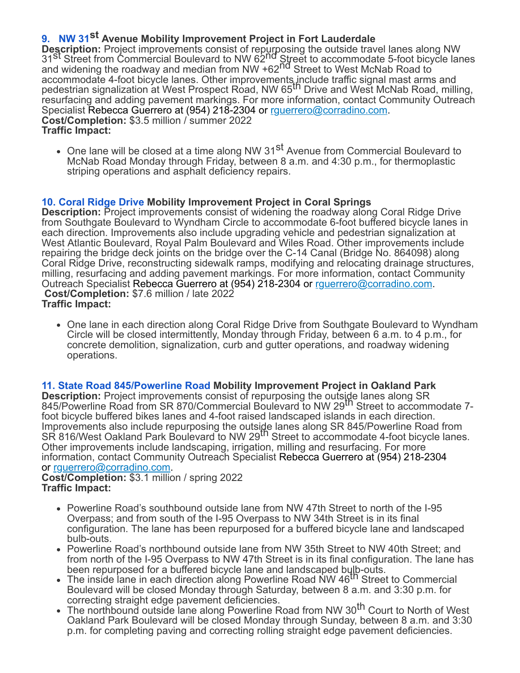# **[9.](https://www.google.com/maps/search/Wilton+Manors)+%0D%0A+%0D%0A+%0D%0A+9.+NW+31?entry=gmail&source=g) [NW 31](https://www.google.com/maps/search/Wilton+Manors)+%0D%0A+%0D%0A+%0D%0A+9.+NW+31?entry=gmail&source=g)st Avenue Mobility Improvement Project in Fort Lauderdale**

**Description:** Project improvements consist of repurposing the outside travel lanes along NW<br>31<sup>St</sup> Street from Commercial Boulevard to NW 62<sup>nd</sup> Street to accommodate 5-foot bicycle lanes and widening the roadway and median from NW +62<sup>nd</sup> Street to West McNab Road to accommodate 4-foot bicycle lanes. Other improvements include traffic signal mast arms and<br>pedestrian signalization at West Prospect Road, NW 65<sup>th</sup> Drive and West McNab Road, milling, resurfacing and adding pavement markings. For more information, contact Community Outreach Specialist Rebecca Guerrero at (954) 218-2304 or rquerrero@corradino.com. **Cost/Completion:** \$3.5 million / summer 2022 **Traffic Impact:**

• One lane will be closed at a time along NW 31<sup>st</sup> Avenue from Commercial Boulevard to McNab Road Monday through Friday, between 8 a.m. and 4:30 p.m., for thermoplastic striping operations and asphalt deficiency repairs.

# **[10. Coral Ridge Drive](https://www.google.com/maps/search/10.+Coral+Ridge+Drive?entry=gmail&source=g) Mobility Improvement Project in Coral Springs**

**Description:** Project improvements consist of widening the roadway along Coral Ridge Drive from Southgate Boulevard to Wyndham Circle to accommodate 6-foot buffered bicycle lanes in each direction. Improvements also include upgrading vehicle and pedestrian signalization at West Atlantic Boulevard, Royal Palm Boulevard and Wiles Road. Other improvements include repairing the bridge deck joints on the bridge over the C-14 Canal (Bridge No. 864098) along Coral Ridge Drive, reconstructing sidewalk ramps, modifying and relocating drainage structures, milling, resurfacing and adding pavement markings. For more information, contact Community Outreach Specialist Rebecca Guerrero at (954) 218-2304 or [rguerrero@corradino.com](mailto:rguerrero@corradino.com). **Cost/Completion:** \$7.6 million / late 2022 **Traffic Impact:**

• One lane in each direction along Coral Ridge Drive from Southgate Boulevard to Wyndham Circle will be closed intermittently, Monday through Friday, between 6 a.m. to 4 p.m., for concrete demolition, signalization, curb and gutter operations, and roadway widening operations.

## **[11. State Road 845/Powerline Road](https://www.google.com/maps/search/11.+State+Road+845%2FPowerline+Road?entry=gmail&source=g) Mobility Improvement Project in Oakland Park**

**Description:** Project improvements consist of repurposing the outside lanes along SR 845/Powerline Road from SR 870/Commercial Boulevard to NW 29th Street to accommodate 7 foot bicycle buffered bikes lanes and 4-foot raised landscaped islands in each direction. Improvements also include repurposing the outside lanes along SR 845/Powerline Road from<br>SR 816/West Oakland Park Boulevard to NW 29<sup>th</sup> Street to accommodate 4-foot bicycle lanes. Other improvements include landscaping, irrigation, milling and resurfacing. For more information, contact Community Outreach Specialist Rebecca Guerrero at (954) 218-2304 or [rguerrero@corradino.com.](mailto:rguerrero@corradino.com)

#### **Cost/Completion:** \$3.1 million / spring 2022 **Traffic Impact:**

- Powerline Road's southbound outside lane from NW 47th Street to north of the I-95 Overpass; and from south of the I-95 Overpass to NW 34th Street is in its final configuration. The lane has been repurposed for a buffered bicycle lane and landscaped bulb-outs.
- Powerline Road's northbound outside lane from NW 35th Street to NW 40th Street; and from north of the I-95 Overpass to NW 47th Street is in its final configuration. The lane has been repurposed for a buffered bicycle lane and landscaped bulb-outs.<br>The inside lane in each direction along Powerline Road NW 46<sup>th</sup> Street to Commercial
- Boulevard will be closed Monday through Saturday, between 8 a.m. and 3:30 p.m. for correcting straight edge pavement deficiencies.
- The northbound outside lane along Powerline Road from NW 30<sup>th</sup> Court to North of West Oakland Park Boulevard will be closed Monday through Sunday, between 8 a.m. and 3:30 p.m. for completing paving and correcting rolling straight edge pavement deficiencies.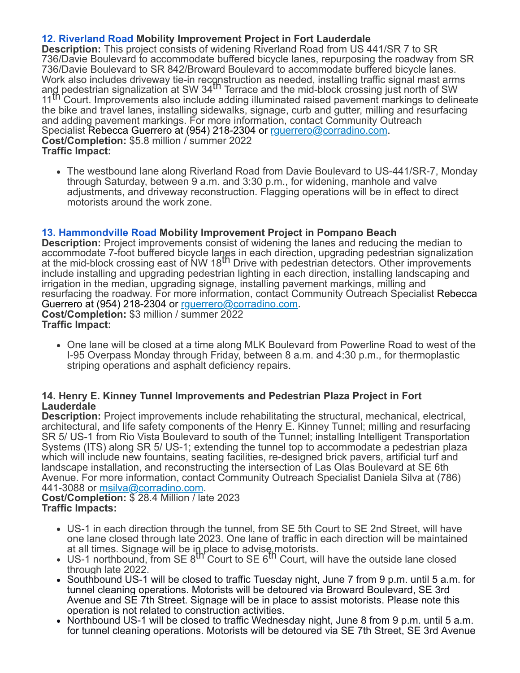# **[12. Riverland Road](https://www.google.com/maps/search/12.+Riverland+Road?entry=gmail&source=g) Mobility Improvement Project in Fort Lauderdale**

**Description:** This project consists of widening Riverland Road from US 441/SR 7 to SR 736/Davie Boulevard to accommodate buffered bicycle lanes, repurposing the roadway from SR 736/Davie Boulevard to SR 842/Broward Boulevard to accommodate buffered bicycle lanes. Work also includes driveway tie-in reconstruction as needed, installing traffic signal mast arms<br>an<u>d</u> pedestrian signalization at SW 34<sup>th</sup> Terrace and the mid-block crossing just north of SW 11 th Court. Improvements also include adding illuminated raised pavement markings to delineate the bike and travel lanes, installing sidewalks, signage, curb and gutter, milling and resurfacing and adding pavement markings. For more information, contact Community Outreach Specialist Rebecca Guerrero at (954) 218-2304 or [rguerrero@corradino.com.](mailto:rguerrero@corradino.com) **Cost/Completion:** \$5.8 million / summer 2022 **Traffic Impact:**

The westbound lane along Riverland Road from Davie Boulevard to US-441/SR-7, Monday through Saturday, between 9 a.m. and 3:30 p.m., for widening, manhole and valve adjustments, and driveway reconstruction. Flagging operations will be in effect to direct motorists around the work zone.

# **[13. Hammondville Road](https://www.google.com/maps/search/13.+Hammondville+Road?entry=gmail&source=g) Mobility Improvement Project in Pompano Beach**

**Description:** Project improvements consist of widening the lanes and reducing the median to accommodate 7-foot buffered bicycle lanes in each direction, upgrading pedestrian signalization<br>at the mid-block crossing east of NW 18<sup>th</sup> Drive with pedestrian detectors. Other improvements include installing and upgrading pedestrian lighting in each direction, installing landscaping and irrigation in the median, upgrading signage, installing pavement markings, milling and resurfacing the roadway. For more information, contact Community Outreach Specialist Rebecca Guerrero at (954) 218-2304 or [rguerrero@corradino.com.](mailto:rguerrero@corradino.com) **Cost/Completion:** \$3 million / summer 2022 **Traffic Impact:**

One lane will be closed at a time along MLK Boulevard from Powerline Road to west of the I-95 Overpass Monday through Friday, between 8 a.m. and 4:30 p.m., for thermoplastic striping operations and asphalt deficiency repairs.

## **14. Henry E. Kinney Tunnel Improvements and Pedestrian Plaza Project in Fort Lauderdale**

**Description:** Project improvements include rehabilitating the structural, mechanical, electrical, architectural, and life safety components of the Henry E. Kinney Tunnel; milling and resurfacing SR 5/ US-1 from Rio Vista Boulevard to south of the Tunnel; installing Intelligent Transportation Systems (ITS) along SR 5/ US-1; extending the tunnel top to accommodate a pedestrian plaza which will include new fountains, seating facilities, re-designed brick pavers, artificial turf and landscape installation, and reconstructing the intersection of Las Olas Boulevard at SE 6th Avenue. For more information, contact Community Outreach Specialist Daniela Silva at (786) 441-3088 or [msilva@corradino.com.](mailto:msilva@corradino.com)

#### **Cost/Completion:** \$ 28.4 Million / late 2023 **Traffic Impacts:**

- US-1 in each direction through the tunnel, from SE 5th Court to SE 2nd Street, will have one lane closed through late 2023. One lane of traffic in each direction will be maintained
- at all times. Signage will be in place to advise motorists.<br>US-1 northbound, from SE 8<sup>th</sup> Court to SE 6<sup>th</sup> Court, will have the outside lane closed through late 2022.
- Southbound US-1 will be closed to traffic Tuesday night, June 7 from 9 p.m. until 5 a.m. for tunnel cleaning operations. Motorists will be detoured via Broward Boulevard, SE 3rd Avenue and SE 7th Street. Signage will be in place to assist motorists. Please note this operation is not related to construction activities.
- Northbound US-1 will be closed to traffic Wednesday night, June 8 from 9 p.m. until 5 a.m. for tunnel cleaning operations. Motorists will be detoured via SE 7th Street, SE 3rd Avenue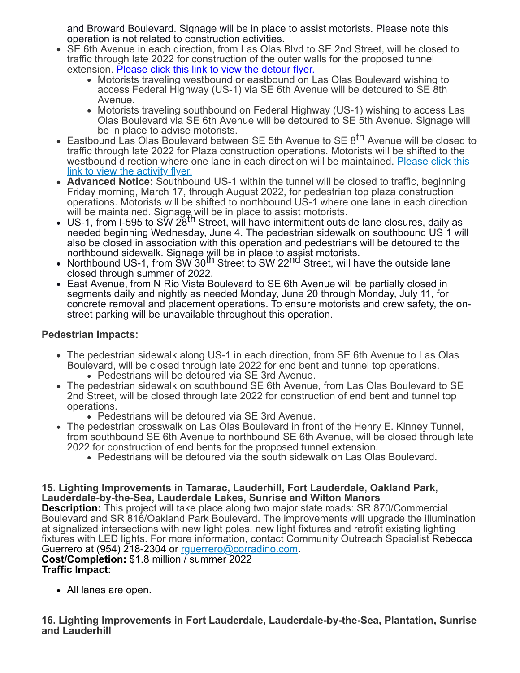and Broward Boulevard. Signage will be in place to assist motorists. Please note this operation is not related to construction activities.

- SE 6th Avenue in each direction, from Las Olas Blvd to SE 2nd Street, will be closed to traffic through late 2022 for construction of the outer walls for the proposed tunnel extension. [Please click this link to view the detour flyer.](https://r20.rs6.net/tn.jsp?f=001kZWI8ZZYZo_kWWZ9cHtbMtP_FHn9b8iwqy_yN1QduxXCwQ29TYSC6OOA8CoAIMIqrnXJmdt5MQCmq7Y9PhlN6iLjCav0dISn8RU7cYR2cVc0MKVcEaHXJoF_jXaaZifhOtprX7fhVbTX90Hq0xZWLUZmAKySSEZm6EREQq6MdZBzSHZ39t-DmJTfH1NKxbgkpjNkI60HHdijRYBSeB06x1880ORGwBa61PyEzISVdDxAZPg5zW0tWvd4gjnkeV0cEKzqv-wqluQznycN2tKxxIq0eB8DiFJdpTSQVB7Mu85YFm_qZ2L-1W7kPMdV6T1G8Kt0CZjy9iAyLagr51A0DCYpdbq-Q4u1wsr9ccEXfAveIGWMmvnweGiO7oua7spxUq3o_1BAP9Mrs7CloZpfJKmjS2esOoEsOoNXL-pV5d1BlKX22Xf4lh23u_-C_Bbpw4sdW7sQGwk-yPEhEM3oAQ_sunBtyoRhR3Iy3rfu7__LE1wAKbxtCRgiXm0TsY7N2VqyakOXgnUIvZZ1Bmz51K6Y5H4P4dQ2plvnmoIhC-MUGP4E-FAOuZtpQZkwVwgs1NOCZosN_a0pz5sP-bH8ohqDoLQYMhM8fB_zQahhCpOsdbjs0n3Mp0sXTeSzRmA9RUsF_z4H0JtTvOcA2H__HDy8Jr_PM1u6cj7twRwPAzxX4UQ0ZOv-rHN-nnHKrGzHq46YptTmAV5LtRKRHetqUttFQuGrl-bkSqRWIgHL5nEQZ3YbvNDnhmND48MV8qmuex9OkjU7a1Z0qNGi3oA8cZ7ykHe5mApZk02TylvbpgF9UwHHoW6T1KH2FaM1TJ79tLogSrUwb811QXhrcS1vQI50XJWumd3T6M25_9Wmzb5HNhFE8ovSKs3y5XFV-fQ2&c=HlmBFwjhLgVDCbsSLlMoK3Kji1iYEvoOeuOwWT9NavH9oR1s7fQERQ==&ch=MNwiG2Jr2urAXhCKvz0IZnUcUUiCw1C2aKpWxVK4iFogFdhLdd7qJA==)
	- Motorists traveling westbound or eastbound on Las Olas Boulevard wishing to access Federal Highway (US-1) via SE 6th Avenue will be detoured to SE 8th Avenue.
	- Motorists traveling southbound on Federal Highway (US-1) wishing to access Las Olas Boulevard via SE 6th Avenue will be detoured to SE 5th Avenue. Signage will be in place to advise motorists.
- Eastbound Las Olas Boulevard between SE 5th Avenue to SE 8<sup>th</sup> Avenue will be closed to traffic through late 2022 for Plaza construction operations. Motorists will be shifted to the [westbound direction where one lane in each direction will be maintained.](https://r20.rs6.net/tn.jsp?f=001kZWI8ZZYZo_kWWZ9cHtbMtP_FHn9b8iwqy_yN1QduxXCwQ29TYSC6OOA8CoAIMIq6Wqwg1eXFmyki0OVQkpPrpP5jjUsaT0xOjSS_sAAjYNy7Oa5afL7hhWIfJ5qwOUqXR2Nq_3xKDG2vcss3n7M_rAMBtAXmkFQAuamnf1usO2GfOvYatrq-mfGvu0ce_ciQS0XKC6IzQKrpdqutCzd5RqGQaWjS_6Onz0PjySq5DO0cgqaJ0kWezZ_PNi2yIcXJ4rTgnazSvKrumttUSLfuQPU9VD008g6U9YeVlg1TdzW2g1bwNZrQvA47vzktZYtIH8QBGQdgP10QLZWUKG0mYW9vImJ14IN0Blx6HKLTTRB4PDbGFoTq_e6HXTvLbJHclgUliOtsDBZngAUtfbnZxDIeZX21BAdCrXIiQFy8Oy8rBQ_8M4iTKi8I_FwgXbMfeE4m-Q2UpPAITICkallnmjNLsx4mf1jNKeusfkoIO3hT5TqgjPtB4VWHkETAmfEKUvSiPX4xCvu_oL5TcZNEm4TM4XqGhSyxIUrnE5caouDHVg4ilWACxh6-wm0VeQmZLKt8ZkbBYD_Box1bvny_hUsF-EdcMTI9nM5R8gIBWfDix36kd7eWzYKQBzNdL59dmNYFpenShFqyWT-9_eBsC-ozH-QYKRM2hqFJ-Eb6uA8KacZ4YDECBz9Dcy2g3qlBViwQRhkqt81F39iFdgnPJXhGEKF41I5P7rqVG3qrGwa3F9B1_cx0uyE-mWdN4cx4xoYuvppwoy4UmFiCgOQZNm-17oS1Wzyl31ipT0bdJE2ofTaOYqQk5oe7b2CYD75tAf-tws2zYByylQRjXRr5pJ1r0gckMvjlM3IaDh4n7egarR-m75cDA==&c=HlmBFwjhLgVDCbsSLlMoK3Kji1iYEvoOeuOwWT9NavH9oR1s7fQERQ==&ch=MNwiG2Jr2urAXhCKvz0IZnUcUUiCw1C2aKpWxVK4iFogFdhLdd7qJA==) Please click this link to view the activity flyer.
- **Advanced Notice:** Southbound US-1 within the tunnel will be closed to traffic, beginning Friday morning, March 17, through August 2022, for pedestrian top plaza construction operations. Motorists will be shifted to northbound US-1 where one lane in each direction
- will be maintained. Signage will be in place to assist motorists.<br>US-1, from I-595 to SW 28<sup>th</sup> Street, will have intermittent outside lane closures, daily as needed beginning Wednesday, June 4. The pedestrian sidewalk on southbound US 1 will also be closed in association with this operation and pedestrians will be detoured to the northbound sidewalk. Signage will be in place to assist motorists.
- Northbound US-1, from SW 30<sup>th</sup> Street to SW 22<sup>nd</sup> Street, will have the outside lane closed through summer of 2022.
- East Avenue, from N Rio Vista Boulevard to SE 6th Avenue will be partially closed in segments daily and nightly as needed Monday, June 20 through Monday, July 11, for concrete removal and placement operations. To ensure motorists and crew safety, the onstreet parking will be unavailable throughout this operation.

# **Pedestrian Impacts:**

- The pedestrian sidewalk along US-1 in each direction, from SE 6th Avenue to Las Olas Boulevard, will be closed through late 2022 for end bent and tunnel top operations. Pedestrians will be detoured via SE 3rd Avenue.
- The pedestrian sidewalk on southbound SE 6th Avenue, from Las Olas Boulevard to SE 2nd Street, will be closed through late 2022 for construction of end bent and tunnel top operations.
	- Pedestrians will be detoured via SE 3rd Avenue.
- The pedestrian crosswalk on Las Olas Boulevard in front of the Henry E. Kinney Tunnel, from southbound SE 6th Avenue to northbound SE 6th Avenue, will be closed through late 2022 for construction of end bents for the proposed tunnel extension.
	- Pedestrians will be detoured via the south sidewalk on Las Olas Boulevard.

## **15. Lighting Improvements in Tamarac, Lauderhill, Fort Lauderdale, Oakland Park, Lauderdale-by-the-Sea, Lauderdale Lakes, Sunrise and Wilton Manors**

**Description:** This project will take place along two major state roads: SR 870/Commercial Boulevard and SR 816/Oakland Park Boulevard. The improvements will upgrade the illumination at signalized intersections with new light poles, new light fixtures and retrofit existing lighting fixtures with LED lights. For more information, contact Community Outreach Specialist Rebecca Guerrero at (954) 218-2304 or [rguerrero@corradino.com.](mailto:rguerrero@corradino.com)

#### **Cost/Completion:** \$1.8 million / summer 2022 **Traffic Impact:**

All lanes are open.

**16. Lighting Improvements in Fort Lauderdale, Lauderdale-by-the-Sea, Plantation, Sunrise and Lauderhill**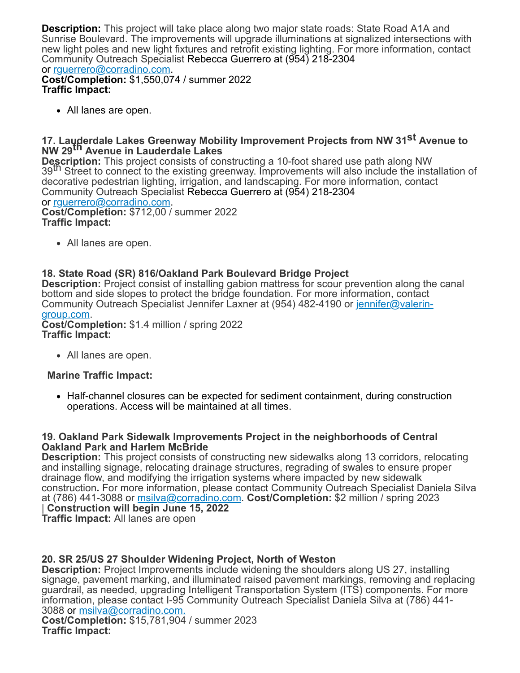**Description:** This project will take place along two major state roads: State Road A1A and Sunrise Boulevard. The improvements will upgrade illuminations at signalized intersections with new light poles and new light fixtures and retrofit existing lighting. For more information, contact Community Outreach Specialist Rebecca Guerrero at (954) 218-2304 or [rguerrero@corradino.com.](mailto:rguerrero@corradino.com)

**Cost/Completion:** \$1,550,074 / summer 2022 **Traffic Impact:**

All lanes are open.

# **17. Lauderdale Lakes Greenway Mobility Improvement Projects from NW 31<sup>st</sup> Avenue to NW 29th Avenue in Lauderdale Lakes**

**Description:** This project consists of constructing a 10-foot shared use path along NW 39<sup>th</sup> Street to connect to the existing greenway. Improvements will also include the installation of decorative pedestrian lighting, irrigation, and landscaping. For more information, contact Community Outreach Specialist Rebecca Guerrero at (954) 218-2304 or [rguerrero@corradino.com.](mailto:rguerrero@corradino.com) **Cost/Completion:** \$712,00 / summer 2022 **Traffic Impact:**

• All lanes are open.

# **18. State Road (SR) 816/Oakland Park Boulevard Bridge Project**

**Description:** Project consist of installing gabion mattress for scour prevention along the canal bottom and side slopes to protect the bridge foundation. For more information, contact [Community Outreach Specialist Jennifer Laxner at \(954\) 482-4190 or](mailto:jennifer@valerin-group.com) jennifer@valeringroup.com.

**Cost/Completion:** \$1.4 million / spring 2022 **Traffic Impact:**

All lanes are open.

## **Marine Traffic Impact:**

• Half-channel closures can be expected for sediment containment, during construction operations. Access will be maintained at all times.

## **19. Oakland Park Sidewalk Improvements Project in the neighborhoods of Central Oakland Park and Harlem McBride**

**Description:** This project consists of constructing new sidewalks along 13 corridors, relocating and installing signage, relocating drainage structures, regrading of swales to ensure proper drainage flow, and modifying the irrigation systems where impacted by new sidewalk construction**.** For more information, please contact Community Outreach Specialist Daniela Silva at (786) 441-3088 or [msilva@corradino.com](mailto:msilva@corradino.com). **Cost/Completion:** \$2 million / spring 2023 | **Construction will begin June 15, 2022 Traffic Impact:** All lanes are open

## **20. SR 25/US 27 Shoulder Widening Project, North of Weston**

**Description:** Project Improvements include widening the shoulders along US 27, installing signage, pavement marking, and illuminated raised pavement markings, removing and replacing guardrail, as needed, upgrading Intelligent Transportation System (ITS) components. For more information, please contact I-95 Community Outreach Specialist Daniela Silva at (786) 441- 3088 or [msilva@corradino.com.](mailto:msilva@corradino.com.) **Cost/Completion:** \$15,781,904 / summer 2023

**Traffic Impact:**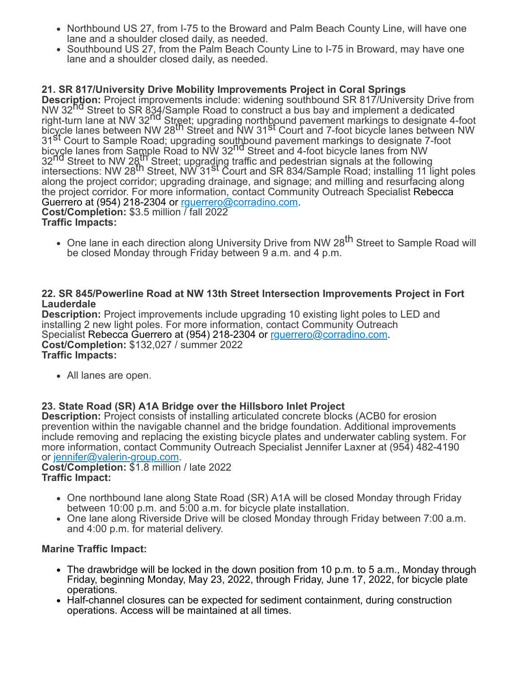- Northbound US 27, from I-75 to the Broward and Palm Beach County Line, will have one lane and a shoulder closed daily, as needed.
- Southbound US 27, from the Palm Beach County Line to I-75 in Broward, may have one lane and a shoulder closed daily, as needed.

# **21. SR 817/University Drive Mobility Improvements Project in Coral Springs**

**Description:** Project improvements include: widening southbound SR 817/University Drive from NW 32<sup>nd</sup> Street to SR 834/Sample Road to construct a bus bay and implement a dedicated right-turn lane at NW 32<sup>nd</sup> Street; upgrading northbound pavement markings to designate 4-foot bicycle lanes between NW 28th Street and NW 31st Court and 7-foot bicycle lanes between NW 31st Court to Sample Road; upgrading southbound pavement markings to designate 7-foot bicycle lanes from Sample Road to NW 32<sup>nd</sup> Street and 4-foot bicycle lanes from NW 32<sup>nd</sup> Street to NW 28<sup>th</sup> Street; upgrading traffic and pedestrian signals at the following be the circuit of two Eq. Circuit, apgressing trains and pedecentair signals at the reliewing<br>intersections: NW 28<sup>th</sup> Street, NW 31<sup>St</sup> Court and SR 834/Sample Road; installing 11 light poles along the project corridor; upgrading drainage, and signage; and milling and resurfacing along the project corridor. For more information, contact Community Outreach Specialist Rebecca Guerrero at (954) 218-2304 or [rguerrero@corradino.com.](mailto:rguerrero@corradino.com) **Cost/Completion:** \$3.5 million / fall 2022 **Traffic Impacts:**

• One lane in each direction along University Drive from NW 28<sup>th</sup> Street to Sample Road will be closed Monday through Friday between 9 a.m. and 4 p.m.

#### **22. SR 845/Powerline Road at NW 13th Street Intersection Improvements Project in Fort Lauderdale**

**Description:** Project improvements include upgrading 10 existing light poles to LED and installing 2 new light poles. For more information, contact Community Outreach Specialist Rebecca Guerrero at (954) 218-2304 or [rguerrero@corradino.com.](mailto:rguerrero@corradino.com) **Cost/Completion:** \$132,027 / summer 2022 **Traffic Impacts:**

All lanes are open.

## **23. State Road (SR) A1A Bridge over the Hillsboro Inlet Project**

**Description:** Project consists of installing articulated concrete blocks (ACB0 for erosion prevention within the navigable channel and the bridge foundation. Additional improvements include removing and replacing the existing bicycle plates and underwater cabling system. For more information, contact Community Outreach Specialist Jennifer Laxner at (954) 482-4190 or [jennifer@valerin-group.com](mailto:jennifer@valerin-group.com).

**Cost/Completion:** \$1.8 million / late 2022 **Traffic Impact:**

- One northbound lane along State Road (SR) A1A will be closed Monday through Friday between 10:00 p.m. and 5:00 a.m. for bicycle plate installation.
- One lane along Riverside Drive will be closed Monday through Friday between 7:00 a.m. and 4:00 p.m. for material delivery.

## **Marine Traffic Impact:**

- The drawbridge will be locked in the down position from 10 p.m. to 5 a.m., Monday through Friday, beginning Monday, May 23, 2022, through Friday, June 17, 2022, for bicycle plate operations.
- Half-channel closures can be expected for sediment containment, during construction operations. Access will be maintained at all times.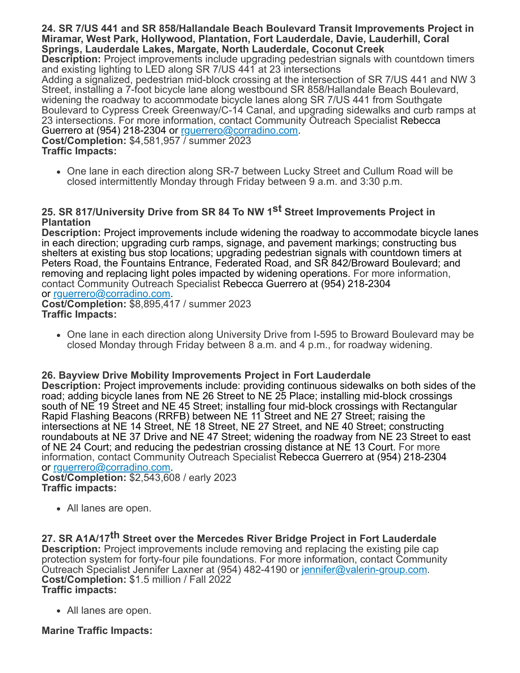**24. SR 7/US 441 and SR 858/Hallandale Beach Boulevard Transit Improvements Project in Miramar, West Park, Hollywood, Plantation, Fort Lauderdale, Davie, Lauderhill, Coral Springs, Lauderdale Lakes, Margate, North Lauderdale, Coconut Creek**

**Description:** Project improvements include upgrading pedestrian signals with countdown timers and existing lighting to LED along SR 7/US 441 at 23 intersections

Adding a signalized, pedestrian mid-block crossing at the intersection of SR 7/US 441 and NW 3 Street, installing a 7-foot bicycle lane along westbound SR 858/Hallandale Beach Boulevard, widening the roadway to accommodate bicycle lanes along SR 7/US 441 from Southgate Boulevard to Cypress Creek Greenway/C-14 Canal, and upgrading sidewalks and curb ramps at 23 intersections. For more information, contact Community Outreach Specialist Rebecca Guerrero at (954) 218-2304 or [rguerrero@corradino.com.](mailto:rguerrero@corradino.com)

**Cost/Completion:** \$4,581,957 / summer 2023 **Traffic Impacts:**

One lane in each direction along SR-7 between Lucky Street and Cullum Road will be closed intermittently Monday through Friday between 9 a.m. and 3:30 p.m.

# **25. SR 817/University Drive from SR 84 To NW 1st Street Improvements Project in Plantation**

**Description:** Project improvements include widening the roadway to accommodate bicycle lanes in each direction; upgrading curb ramps, signage, and pavement markings; constructing bus shelters at existing bus stop locations; upgrading pedestrian signals with countdown timers at Peters Road, the Fountains Entrance, Federated Road, and SR 842/Broward Boulevard; and removing and replacing light poles impacted by widening operations. For more information, contact Community Outreach Specialist Rebecca Guerrero at (954) 218-2304 or [rguerrero@corradino.com.](mailto:rguerrero@corradino.com)

**Cost/Completion:** \$8,895,417 / summer 2023 **Traffic Impacts:**

One lane in each direction along University Drive from I-595 to Broward Boulevard may be closed Monday through Friday between 8 a.m. and 4 p.m., for roadway widening.

## **26. Bayview Drive Mobility Improvements Project in Fort Lauderdale**

**Description:** Project improvements include: providing continuous sidewalks on both sides of the road; adding bicycle lanes from NE 26 Street to NE 25 Place; installing mid-block crossings south of NE 19 Street and NE 45 Street; installing four mid-block crossings with Rectangular Rapid Flashing Beacons (RRFB) between NE 11 Street and NE 27 Street; raising the intersections at NE 14 Street, NE 18 Street, NE 27 Street, and NE 40 Street; constructing roundabouts at NE 37 Drive and NE 47 Street; widening the roadway from NE 23 Street to east of NE 24 Court; and reducing the pedestrian crossing distance at NE 13 Court. For more information, contact Community Outreach Specialist Rebecca Guerrero at (954) 218-2304 or [rguerrero@corradino.com.](mailto:rguerrero@corradino.com)

**Cost/Completion:** \$2,543,608 / early 2023 **Traffic impacts:**

All lanes are open.

**27. SR A1A/17th Street over the Mercedes River Bridge Project in Fort Lauderdale Description:** Project improvements include removing and replacing the existing pile cap protection system for forty-four pile foundations. For more information, contact Community Outreach Specialist Jennifer Laxner at (954) 482-4190 or [jennifer@valerin-group.com](mailto:jennifer@valerin-group.com). **Cost/Completion:** \$1.5 million / Fall 2022 **Traffic impacts:**

All lanes are open.

# **Marine Traffic Impacts:**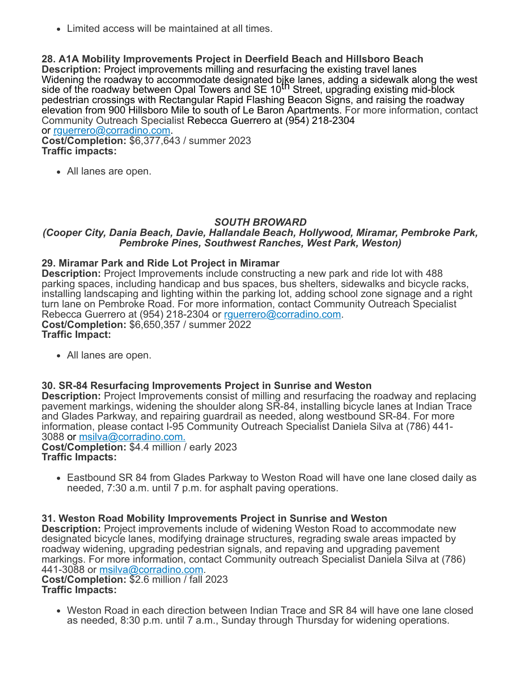Limited access will be maintained at all times.

**28. A1A Mobility Improvements Project in Deerfield Beach and Hillsboro Beach Description:** Project improvements milling and resurfacing the existing travel lanes Widening the roadway to accommodate designated bike lanes, adding a sidewalk along the west<br>side of the roadway between Opal Towers and SE 10<sup>th</sup> Street, upgrading existing mid-block pedestrian crossings with Rectangular Rapid Flashing Beacon Signs, and raising the roadway elevation from 900 Hillsboro Mile to south of Le Baron Apartments. For more information, contact Community Outreach Specialist Rebecca Guerrero at (954) 218-2304 or [rguerrero@corradino.com.](mailto:rguerrero@corradino.com)

**Cost/Completion:** \$6,377,643 / summer 2023 **Traffic impacts:**

• All lanes are open.

## *SOUTH BROWARD*

#### *(Cooper City, Dania Beach, Davie, Hallandale Beach, Hollywood, Miramar, Pembroke Park, Pembroke Pines, Southwest Ranches, West Park, Weston)*

#### **29. Miramar Park and Ride Lot Project in Miramar**

**Description:** Project Improvements include constructing a new park and ride lot with 488 parking spaces, including handicap and bus spaces, bus shelters, sidewalks and bicycle racks, installing landscaping and lighting within the parking lot, adding school zone signage and a right turn lane on Pembroke Road. For more information, contact Community Outreach Specialist Rebecca Guerrero at (954) 218-2304 or [rguerrero@corradino.com.](mailto:rguerrero@corradino.com) **Cost/Completion:** \$6,650,357 / summer 2022 **Traffic Impact:**

All lanes are open.

## **30. SR-84 Resurfacing Improvements Project in Sunrise and Weston**

**Description:** Project Improvements consist of milling and resurfacing the roadway and replacing pavement markings, widening the shoulder along SR-84, installing bicycle lanes at Indian Trace and Glades Parkway, and repairing guardrail as needed, along westbound SR-84. For more information, please contact I-95 Community Outreach Specialist Daniela Silva at (786) 441- 3088 or [msilva@corradino.com.](mailto:msilva@corradino.com.)

**Cost/Completion:** \$4.4 million / early 2023 **Traffic Impacts:**

Eastbound SR 84 from Glades Parkway to Weston Road will have one lane closed daily as needed, 7:30 a.m. until 7 p.m. for asphalt paving operations.

#### **31. Weston Road Mobility Improvements Project in Sunrise and Weston**

**Description:** Project improvements include of widening Weston Road to accommodate new designated bicycle lanes, modifying drainage structures, regrading swale areas impacted by roadway widening, upgrading pedestrian signals, and repaving and upgrading pavement markings. For more information, contact Community outreach Specialist Daniela Silva at (786) 441-3088 or [msilva@corradino.com.](mailto:msilva@corradino.com)

**Cost/Completion:** \$2.6 million / fall 2023 **Traffic Impacts:**

Weston Road in each direction between Indian Trace and SR 84 will have one lane closed as needed, 8:30 p.m. until 7 a.m., Sunday through Thursday for widening operations.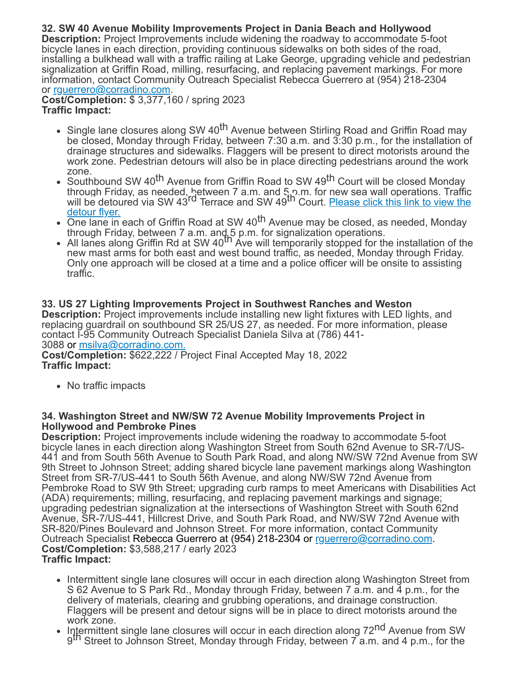# **32. SW 40 Avenue Mobility Improvements Project in Dania Beach and Hollywood**

**Description:** Project Improvements include widening the roadway to accommodate 5-foot bicycle lanes in each direction, providing continuous sidewalks on both sides of the road, installing a bulkhead wall with a traffic railing at Lake George, upgrading vehicle and pedestrian signalization at Griffin Road, milling, resurfacing, and replacing pavement markings. For more information, contact Community Outreach Specialist Rebecca Guerrero at (954) 218-2304 or rquerrero@corradino.com.

**Cost/Completion:** \$ 3,377,160 / spring 2023 **Traffic Impact:**

- Single lane closures along SW 40<sup>th</sup> Avenue between Stirling Road and Griffin Road may be closed, Monday through Friday, between 7:30 a.m. and 3:30 p.m., for the installation of drainage structures and sidewalks. Flaggers will be present to direct motorists around the work zone. Pedestrian detours will also be in place directing pedestrians around the work zone.
- Southbound SW 40<sup>th</sup> Avenue from Griffin Road to SW 49<sup>th</sup> Court will be closed Monday through Friday, as needed, hetween 7 a.m. and 5 p.m. for new sea wall operations. Traffic<br>will be detoured via SW 43<sup>rd</sup> Terrace and SW 49<sup>th</sup> Court. <u>[Please click this link to view the](https://r20.rs6.net/tn.jsp?f=001kZWI8ZZYZo_kWWZ9cHtbMtP_FHn9b8iwqy_yN1QduxXCwQ29TYSC6CEsje71TLHhCVkP1zAPoiX5InuXWTDu2zI0TKssGFnGKtYSTpCiWzsFittukDpI-b7NvlXYGn4f8I61C7hfiSHneviHNHfeRgGq8g0ClC4YR4dInIcG3Pxw8c_h56i9LK7Ja9eWgMZ96bGJaaFACokws5pY5PlnNRHhvcdXTpSGsVWvmGD8YEiwZFbPHV9Rnw==&c=HlmBFwjhLgVDCbsSLlMoK3Kji1iYEvoOeuOwWT9NavH9oR1s7fQERQ==&ch=MNwiG2Jr2urAXhCKvz0IZnUcUUiCw1C2aKpWxVK4iFogFdhLdd7qJA==)</u> detour flyer.
- One lane in each of Griffin Road at SW 40<sup>th</sup> Avenue may be closed, as needed, Monday
- through Friday, between 7 a.m. and 5 p.m. for signalization operations.<br>All lanes along Griffin Rd at SW 40<sup>th</sup> Ave will temporarily stopped for the installation of the new mast arms for both east and west bound traffic, as needed, Monday through Friday. Only one approach will be closed at a time and a police officer will be onsite to assisting traffic.

#### **33. US 27 Lighting Improvements Project in Southwest Ranches and Weston Description:** Project improvements include installing new light fixtures with LED lights, and replacing guardrail on southbound SR 25/US 27, as needed. For more information, please contact I-95 Community Outreach Specialist Daniela Silva at (786) 441- 3088 or [msilva@corradino.com.](mailto:msilva@corradino.com.) **Cost/Completion:** \$622,222 / Project Final Accepted May 18, 2022 **Traffic Impact:**

• No traffic impacts

## **34. Washington Street and NW/SW 72 Avenue Mobility Improvements Project in Hollywood and Pembroke Pines**

**Description:** Project improvements include widening the roadway to accommodate 5-foot bicycle lanes in each direction along Washington Street from South 62nd Avenue to SR-7/US-441 and from South 56th Avenue to South Park Road, and along NW/SW 72nd Avenue from SW 9th Street to Johnson Street; adding shared bicycle lane pavement markings along Washington Street from SR-7/US-441 to South 56th Avenue, and along NW/SW 72nd Avenue from Pembroke Road to SW 9th Street; upgrading curb ramps to meet Americans with Disabilities Act (ADA) requirements; milling, resurfacing, and replacing pavement markings and signage; upgrading pedestrian signalization at the intersections of Washington Street with South 62nd Avenue, SR-7/US-441, Hillcrest Drive, and South Park Road, and NW/SW 72nd Avenue with SR-820/Pines Boulevard and Johnson Street. For more information, contact Community Outreach Specialist Rebecca Guerrero at (954) 218-2304 or [rguerrero@corradino.com](mailto:rguerrero@corradino.com). **Cost/Completion:** \$3,588,217 / early 2023 **Traffic Impact:**

- Intermittent single lane closures will occur in each direction along Washington Street from S 62 Avenue to S Park Rd., Monday through Friday, between 7 a.m. and 4 p.m., for the delivery of materials, clearing and grubbing operations, and drainage construction. Flaggers will be present and detour signs will be in place to direct motorists around the work zone.
- Intermittent single lane closures will occur in each direction along 72<sup>nd</sup> Avenue from SW gth Street to Johnson Street, Monday through Friday, between 7 a.m. and 4 p.m., for the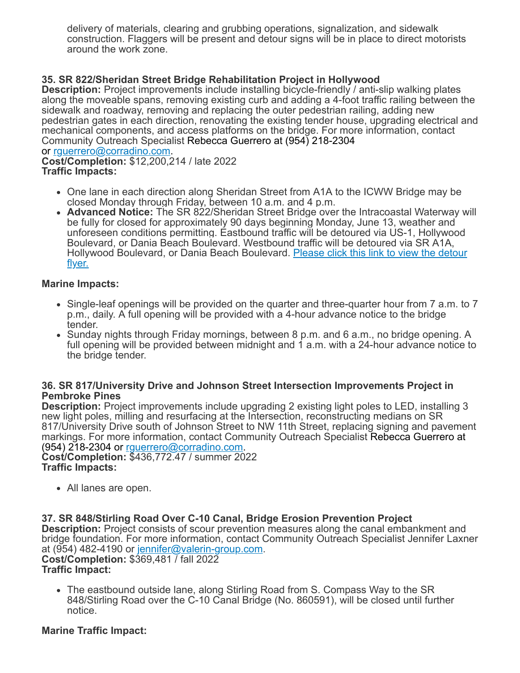delivery of materials, clearing and grubbing operations, signalization, and sidewalk construction. Flaggers will be present and detour signs will be in place to direct motorists around the work zone.

# **35. SR 822/Sheridan Street Bridge Rehabilitation Project in Hollywood**

**Description:** Project improvements include installing bicycle-friendly / anti-slip walking plates along the moveable spans, removing existing curb and adding a 4-foot traffic railing between the sidewalk and roadway, removing and replacing the outer pedestrian railing, adding new pedestrian gates in each direction, renovating the existing tender house, upgrading electrical and mechanical components, and access platforms on the bridge. For more information, contact Community Outreach Specialist Rebecca Guerrero at (954) 218-2304 or [rguerrero@corradino.com.](mailto:rguerrero@corradino.com)

**Cost/Completion:** \$12,200,214 / late 2022 **Traffic Impacts:**

- One lane in each direction along Sheridan Street from A1A to the ICWW Bridge may be closed Monday through Friday, between 10 a.m. and 4 p.m.
- **Advanced Notice:** The SR 822/Sheridan Street Bridge over the Intracoastal Waterway will be fully for closed for approximately 90 days beginning Monday, June 13, weather and unforeseen conditions permitting. Eastbound traffic will be detoured via US-1, Hollywood Boulevard, or Dania Beach Boulevard. Westbound traffic will be detoured via SR A1A, [Hollywood Boulevard, or Dania Beach Boulevard.](https://r20.rs6.net/tn.jsp?f=001kZWI8ZZYZo_kWWZ9cHtbMtP_FHn9b8iwqy_yN1QduxXCwQ29TYSC6JTWGRmZTSflAVQNN5___lT2l0TbVqMl8fw1fnmyGmXT1-YsY5dHf-W-ZhAYRUi93J9S9iUnpVkjL5a8NIL8ZjhJ52ej-gpAXmkhjFtYOgmXvp48LKqn6lCZtrt1jpvqTzUQC2ZlJltvTwZCj6NxDd-dmYujSnq6g0szMOEOSnoefTJ4DChPomxei4uPsY6wqA==&c=HlmBFwjhLgVDCbsSLlMoK3Kji1iYEvoOeuOwWT9NavH9oR1s7fQERQ==&ch=MNwiG2Jr2urAXhCKvz0IZnUcUUiCw1C2aKpWxVK4iFogFdhLdd7qJA==) Please click this link to view the detour flyer.

## **Marine Impacts:**

- Single-leaf openings will be provided on the quarter and three-quarter hour from 7 a.m. to 7 p.m., daily. A full opening will be provided with a 4-hour advance notice to the bridge tender.
- Sunday nights through Friday mornings, between 8 p.m. and 6 a.m., no bridge opening. A full opening will be provided between midnight and 1 a.m. with a 24-hour advance notice to the bridge tender.

#### **36. SR 817/University Drive and Johnson Street Intersection Improvements Project in Pembroke Pines**

**Description:** Project improvements include upgrading 2 existing light poles to LED, installing 3 new light poles, milling and resurfacing at the Intersection, reconstructing medians on SR 817/University Drive south of Johnson Street to NW 11th Street, replacing signing and pavement markings. For more information, contact Community Outreach Specialist Rebecca Guerrero at (954) 218-2304 or [rguerrero@corradino.com](mailto:rguerrero@corradino.com).

**Cost/Completion:** \$436,772.47 / summer 2022 **Traffic Impacts:**

• All lanes are open.

#### **37. SR 848/Stirling Road Over C-10 Canal, Bridge Erosion Prevention Project**

**Description:** Project consists of scour prevention measures along the canal embankment and bridge foundation. For more information, contact Community Outreach Specialist Jennifer Laxner at (954) 482-4190 or [jennifer@valerin-group.com.](mailto:jennifer@valerin-group.com) **Cost/Completion:** \$369,481 / fall 2022

#### **Traffic Impact:**

The eastbound outside lane, along Stirling Road from S. Compass Way to the SR 848/Stirling Road over the C-10 Canal Bridge (No. 860591), will be closed until further notice.

## **Marine Traffic Impact:**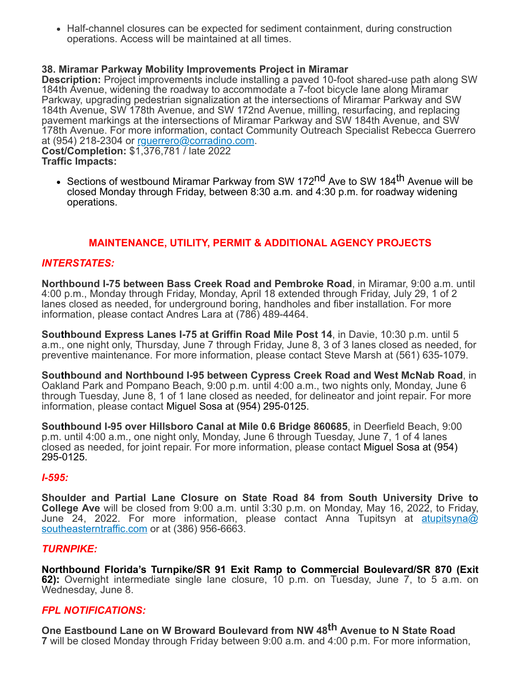• Half-channel closures can be expected for sediment containment, during construction operations. Access will be maintained at all times.

## **38. Miramar Parkway Mobility Improvements Project in Miramar**

**Description:** Project improvements include installing a paved 10-foot shared-use path along SW 184th Avenue, widening the roadway to accommodate a 7-foot bicycle lane along Miramar Parkway, upgrading pedestrian signalization at the intersections of Miramar Parkway and SW 184th Avenue, SW 178th Avenue, and SW 172nd Avenue, milling, resurfacing, and replacing pavement markings at the intersections of Miramar Parkway and SW 184th Avenue, and SW 178th Avenue. For more information, contact Community Outreach Specialist Rebecca Guerrero at (954) 218-2304 or [rguerrero@corradino.com.](mailto:rguerrero@corradino.com) **Cost/Completion:** \$1,376,781 / late 2022

**Traffic Impacts:**

• Sections of westbound Miramar Parkway from SW 172<sup>nd</sup> Ave to SW 184<sup>th</sup> Avenue will be closed Monday through Friday, between 8:30 a.m. and 4:30 p.m. for roadway widening operations.

# **MAINTENANCE, UTILITY, PERMIT & ADDITIONAL AGENCY PROJECTS**

## *INTERSTATES:*

**Northbound I-75 between Bass Creek Road and Pembroke Road**, in Miramar, 9:00 a.m. until 4:00 p.m., Monday through Friday, Monday, April 18 extended through Friday, July 29, 1 of 2 lanes closed as needed, for underground boring, handholes and fiber installation. For more information, please contact Andres Lara at (786) 489-4464.

**Southbound Express Lanes I-75 at Griffin Road Mile Post 14**, in Davie, 10:30 p.m. until 5 a.m., one night only, Thursday, June 7 through Friday, June 8, 3 of 3 lanes closed as needed, for preventive maintenance. For more information, please contact Steve Marsh at (561) 635-1079.

**Southbound and Northbound I-95 between Cypress Creek Road and West McNab Road**, in Oakland Park and Pompano Beach, 9:00 p.m. until 4:00 a.m., two nights only, Monday, June 6 through Tuesday, June 8, 1 of 1 lane closed as needed, for delineator and joint repair. For more information, please contact Miguel Sosa at (954) 295-0125.

**Southbound I-95 over Hillsboro Canal at Mile 0.6 Bridge 860685**, in Deerfield Beach, 9:00 p.m. until 4:00 a.m., one night only, Monday, June 6 through Tuesday, June 7, 1 of 4 lanes closed as needed, for joint repair. For more information, please contact Miguel Sosa at (954) 295-0125.

#### *I-595:*

**Shoulder and Partial Lane Closure on State Road 84 from South University Drive to College Ave** will be closed from 9:00 a.m. until 3:30 p.m. on Monday, May 16, 2022, to Friday, [June 24, 2022. For more information, please contact Anna Tupitsyn at](mailto:atupitsyna@southeasterntraffic.com) atupitsyna@ southeasterntraffic.com or at (386) 956-6663.

#### *TURNPIKE:*

**Northbound Florida's Turnpike/SR 91 Exit Ramp to Commercial Boulevard/SR 870 (Exit 62):** Overnight intermediate single lane closure, 10 p.m. on Tuesday, June 7, to 5 a.m. on Wednesday, June 8.

#### *FPL NOTIFICATIONS:*

**One Eastbound Lane on W Broward Boulevard from NW 48th Avenue to N State Road 7** will be closed Monday through Friday between 9:00 a.m. and 4:00 p.m. For more information,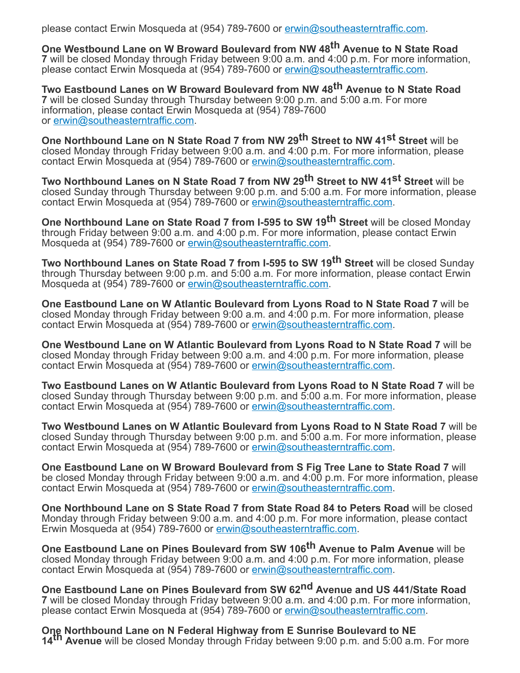please contact Erwin Mosqueda at (954) 789-7600 or [erwin@southeasterntraffic.com.](mailto:erwin@southeasterntraffic.com)

**One Westbound Lane on W Broward Boulevard from NW 48th Avenue to N State Road 7** will be closed Monday through Friday between 9:00 a.m. and 4:00 p.m. For more information, please contact Erwin Mosqueda at (954) 789-7600 or [erwin@southeasterntraffic.com.](mailto:erwin@southeasterntraffic.com)

**Two Eastbound Lanes on W Broward Boulevard from NW 48th Avenue to N State Road 7** will be closed Sunday through Thursday between 9:00 p.m. and 5:00 a.m. For more information, please contact Erwin Mosqueda at (954) 789-7600 or [erwin@southeasterntraffic.com](mailto:erwin@southeasterntraffic.com).

**One Northbound Lane on N State Road 7 from NW 29th Street to NW 41st Street** will be closed Monday through Friday between 9:00 a.m. and 4:00 p.m. For more information, please contact Erwin Mosqueda at (954) 789-7600 or [erwin@southeasterntraffic.com](mailto:erwin@southeasterntraffic.com).

**Two Northbound Lanes on N State Road 7 from NW 29th Street to NW 41st Street** will be closed Sunday through Thursday between 9:00 p.m. and 5:00 a.m. For more information, please contact Erwin Mosqueda at (954) 789-7600 or [erwin@southeasterntraffic.com](mailto:erwin@southeasterntraffic.com).

**One Northbound Lane on State Road 7 from I-595 to SW 19th Street** will be closed Monday through Friday between 9:00 a.m. and 4:00 p.m. For more information, please contact Erwin Mosqueda at (954) 789-7600 or [erwin@southeasterntraffic.com.](mailto:erwin@southeasterntraffic.com)

**Two Northbound Lanes on State Road 7 from I-595 to SW 19th Street** will be closed Sunday through Thursday between 9:00 p.m. and 5:00 a.m. For more information, please contact Erwin Mosqueda at (954) 789-7600 or [erwin@southeasterntraffic.com.](mailto:erwin@southeasterntraffic.com)

**One Eastbound Lane on W Atlantic Boulevard from Lyons Road to N State Road 7** will be closed Monday through Friday between 9:00 a.m. and 4:00 p.m. For more information, please contact Erwin Mosqueda at (954) 789-7600 or [erwin@southeasterntraffic.com](mailto:erwin@southeasterntraffic.com).

**One Westbound Lane on W Atlantic Boulevard from Lyons Road to N State Road 7** will be closed Monday through Friday between 9:00 a.m. and 4:00 p.m. For more information, please contact Erwin Mosqueda at (954) 789-7600 or [erwin@southeasterntraffic.com](mailto:erwin@southeasterntraffic.com).

**Two Eastbound Lanes on W Atlantic Boulevard from Lyons Road to N State Road 7** will be closed Sunday through Thursday between 9:00 p.m. and 5:00 a.m. For more information, please contact Erwin Mosqueda at (954) 789-7600 or [erwin@southeasterntraffic.com](mailto:erwin@southeasterntraffic.com).

**Two Westbound Lanes on W Atlantic Boulevard from Lyons Road to N State Road 7** will be closed Sunday through Thursday between 9:00 p.m. and 5:00 a.m. For more information, please contact Erwin Mosqueda at (954) 789-7600 or [erwin@southeasterntraffic.com](mailto:erwin@southeasterntraffic.com).

**One Eastbound Lane on W Broward Boulevard from S Fig Tree Lane to State Road 7** will be closed Monday through Friday between 9:00 a.m. and 4:00 p.m. For more information, please contact Erwin Mosqueda at (954) 789-7600 or [erwin@southeasterntraffic.com](mailto:erwin@southeasterntraffic.com).

**One Northbound Lane on S State Road 7 from State Road 84 to Peters Road** will be closed Monday through Friday between 9:00 a.m. and 4:00 p.m. For more information, please contact Erwin Mosqueda at (954) 789-7600 or [erwin@southeasterntraffic.com](mailto:erwin@southeasterntraffic.com).

**One Eastbound Lane on Pines Boulevard from SW 106th Avenue to Palm Avenue** will be closed Monday through Friday between 9:00 a.m. and 4:00 p.m. For more information, please contact Erwin Mosqueda at (954) 789-7600 or [erwin@southeasterntraffic.com](mailto:erwin@southeasterntraffic.com).

**One Eastbound Lane on Pines Boulevard from SW 62nd Avenue and US 441/State Road 7** will be closed Monday through Friday between 9:00 a.m. and 4:00 p.m. For more information, please contact Erwin Mosqueda at (954) 789-7600 or [erwin@southeasterntraffic.com.](mailto:erwin@southeasterntraffic.com)

**One Northbound Lane on N Federal Highway from E Sunrise Boulevard to NE 14th Avenue** will be closed Monday through Friday between 9:00 p.m. and 5:00 a.m. For more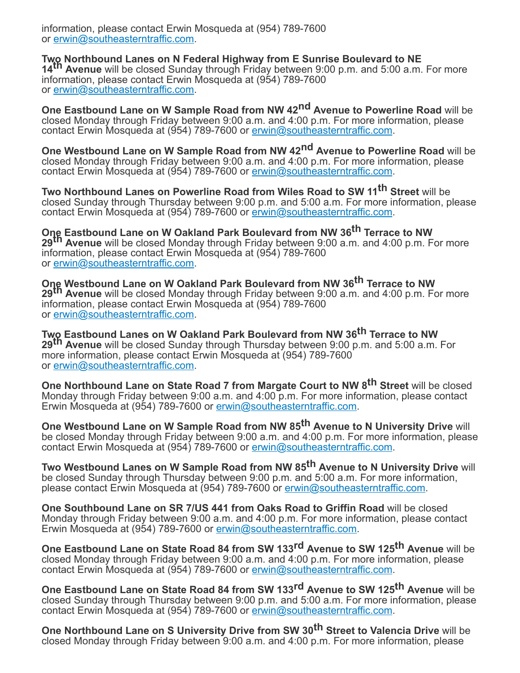information, please contact Erwin Mosqueda at (954) 789-7600 or [erwin@southeasterntraffic.com](mailto:erwin@southeasterntraffic.com).

**Two Northbound Lanes on N Federal Highway from E Sunrise Boulevard to NE 14th Avenue** will be closed Sunday through Friday between 9:00 p.m. and 5:00 a.m. For more information, please contact Erwin Mosqueda at (954) 789-7600 or [erwin@southeasterntraffic.com](mailto:erwin@southeasterntraffic.com).

**One Eastbound Lane on W Sample Road from NW 42nd Avenue to Powerline Road** will be closed Monday through Friday between 9:00 a.m. and 4:00 p.m. For more information, please contact Erwin Mosqueda at (954) 789-7600 or [erwin@southeasterntraffic.com](mailto:erwin@southeasterntraffic.com).

**One Westbound Lane on W Sample Road from NW 42nd Avenue to Powerline Road** will be closed Monday through Friday between 9:00 a.m. and 4:00 p.m. For more information, please contact Erwin Mosqueda at (954) 789-7600 or [erwin@southeasterntraffic.com](mailto:erwin@southeasterntraffic.com).

**Two Northbound Lanes on Powerline Road from Wiles Road to SW 11 th Street** will be closed Sunday through Thursday between 9:00 p.m. and 5:00 a.m. For more information, please contact Erwin Mosqueda at (954) 789-7600 or [erwin@southeasterntraffic.com](mailto:erwin@southeasterntraffic.com).

**One Eastbound Lane on W Oakland Park Boulevard from NW 36th Terrace to NW 29th Avenue** will be closed Monday through Friday between 9:00 a.m. and 4:00 p.m. For more information, please contact Erwin Mosqueda at (954) 789-7600 or [erwin@southeasterntraffic.com](mailto:erwin@southeasterntraffic.com).

**One Westbound Lane on W Oakland Park Boulevard from NW 36th Terrace to NW 29th Avenue** will be closed Monday through Friday between 9:00 a.m. and 4:00 p.m. For more information, please contact Erwin Mosqueda at (954) 789-7600 or [erwin@southeasterntraffic.com](mailto:erwin@southeasterntraffic.com).

**Two Eastbound Lanes on W Oakland Park Boulevard from NW 36<sup>th</sup> Terrace to NW 29th Avenue** will be closed Sunday through Thursday between 9:00 p.m. and 5:00 a.m. For more information, please contact Erwin Mosqueda at (954) 789-7600 or [erwin@southeasterntraffic.com](mailto:erwin@southeasterntraffic.com).

**One Northbound Lane on State Road 7 from Margate Court to NW 8th Street** will be closed Monday through Friday between 9:00 a.m. and 4:00 p.m. For more information, please contact Erwin Mosqueda at (954) 789-7600 or [erwin@southeasterntraffic.com](mailto:erwin@southeasterntraffic.com).

**One Westbound Lane on W Sample Road from NW 85th Avenue to N University Drive** will be closed Monday through Friday between 9:00 a.m. and 4:00 p.m. For more information, please contact Erwin Mosqueda at (954) 789-7600 or [erwin@southeasterntraffic.com](mailto:erwin@southeasterntraffic.com).

**Two Westbound Lanes on W Sample Road from NW 85th Avenue to N University Drive** will be closed Sunday through Thursday between 9:00 p.m. and 5:00 a.m. For more information, please contact Erwin Mosqueda at (954) 789-7600 or [erwin@southeasterntraffic.com.](mailto:erwin@southeasterntraffic.com)

**One Southbound Lane on SR 7/US 441 from Oaks Road to Griffin Road** will be closed Monday through Friday between 9:00 a.m. and 4:00 p.m. For more information, please contact Erwin Mosqueda at (954) 789-7600 or [erwin@southeasterntraffic.com](mailto:erwin@southeasterntraffic.com).

**One Eastbound Lane on State Road 84 from SW 133rd Avenue to SW 125th Avenue** will be closed Monday through Friday between 9:00 a.m. and 4:00 p.m. For more information, please contact Erwin Mosqueda at (954) 789-7600 or [erwin@southeasterntraffic.com](mailto:erwin@southeasterntraffic.com).

**One Eastbound Lane on State Road 84 from SW 133rd Avenue to SW 125th Avenue** will be closed Sunday through Thursday between 9:00 p.m. and 5:00 a.m. For more information, please contact Erwin Mosqueda at (954) 789-7600 or [erwin@southeasterntraffic.com](mailto:erwin@southeasterntraffic.com).

**One Northbound Lane on S University Drive from SW 30th Street to Valencia Drive** will be closed Monday through Friday between 9:00 a.m. and 4:00 p.m. For more information, please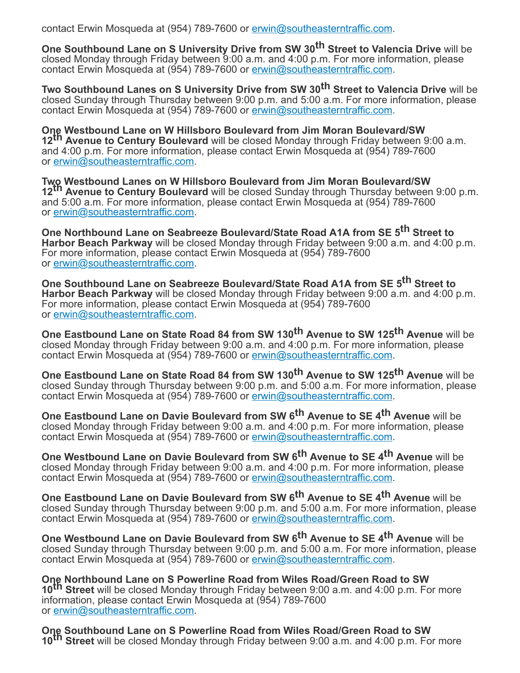contact Erwin Mosqueda at (954) 789-7600 or [erwin@southeasterntraffic.com](mailto:erwin@southeasterntraffic.com).

**One Southbound Lane on S University Drive from SW 30th Street to Valencia Drive** will be closed Monday through Friday between 9:00 a.m. and 4:00 p.m. For more information, please contact Erwin Mosqueda at (954) 789-7600 or [erwin@southeasterntraffic.com](mailto:erwin@southeasterntraffic.com).

**Two Southbound Lanes on S University Drive from SW 30th Street to Valencia Drive** will be closed Sunday through Thursday between 9:00 p.m. and 5:00 a.m. For more information, please contact Erwin Mosqueda at (954) 789-7600 or [erwin@southeasterntraffic.com](mailto:erwin@southeasterntraffic.com).

**One Westbound Lane on W Hillsboro Boulevard from Jim Moran Boulevard/SW 12th Avenue to Century Boulevard** will be closed Monday through Friday between 9:00 a.m. and 4:00 p.m. For more information, please contact Erwin Mosqueda at (954) 789-7600 or [erwin@southeasterntraffic.com](mailto:erwin@southeasterntraffic.com).

**Two Westbound Lanes on W Hillsboro Boulevard from Jim Moran Boulevard/SW 12th Avenue to Century Boulevard** will be closed Sunday through Thursday between 9:00 p.m. and 5:00 a.m. For more information, please contact Erwin Mosqueda at (954) 789-7600 or [erwin@southeasterntraffic.com](mailto:erwin@southeasterntraffic.com).

**One Northbound Lane on Seabreeze Boulevard/State Road A1A from SE 5th Street to Harbor Beach Parkway** will be closed Monday through Friday between 9:00 a.m. and 4:00 p.m. For more information, please contact Erwin Mosqueda at (954) 789-7600 or [erwin@southeasterntraffic.com](mailto:erwin@southeasterntraffic.com).

**One Southbound Lane on Seabreeze Boulevard/State Road A1A from SE 5th Street to Harbor Beach Parkway** will be closed Monday through Friday between 9:00 a.m. and 4:00 p.m. For more information, please contact Erwin Mosqueda at (954) 789-7600 or [erwin@southeasterntraffic.com](mailto:erwin@southeasterntraffic.com).

**One Eastbound Lane on State Road 84 from SW 130th Avenue to SW 125th Avenue** will be closed Monday through Friday between 9:00 a.m. and 4:00 p.m. For more information, please contact Erwin Mosqueda at (954) 789-7600 or [erwin@southeasterntraffic.com](mailto:erwin@southeasterntraffic.com).

**One Eastbound Lane on State Road 84 from SW 130th Avenue to SW 125th Avenue** will be closed Sunday through Thursday between 9:00 p.m. and 5:00 a.m. For more information, please contact Erwin Mosqueda at (954) 789-7600 or [erwin@southeasterntraffic.com](mailto:erwin@southeasterntraffic.com).

**One Eastbound Lane on Davie Boulevard from SW 6th Avenue to SE 4th Avenue** will be closed Monday through Friday between 9:00 a.m. and 4:00 p.m. For more information, please contact Erwin Mosqueda at (954) 789-7600 or [erwin@southeasterntraffic.com](mailto:erwin@southeasterntraffic.com).

**One Westbound Lane on Davie Boulevard from SW 6th Avenue to SE 4th Avenue** will be closed Monday through Friday between 9:00 a.m. and 4:00 p.m. For more information, please contact Erwin Mosqueda at (954) 789-7600 or [erwin@southeasterntraffic.com](mailto:erwin@southeasterntraffic.com).

**One Eastbound Lane on Davie Boulevard from SW 6th Avenue to SE 4th Avenue** will be closed Sunday through Thursday between 9:00 p.m. and 5:00 a.m. For more information, please contact Erwin Mosqueda at (954) 789-7600 or [erwin@southeasterntraffic.com](mailto:erwin@southeasterntraffic.com).

**One Westbound Lane on Davie Boulevard from SW 6th Avenue to SE 4th Avenue** will be closed Sunday through Thursday between 9:00 p.m. and 5:00 a.m. For more information, please contact Erwin Mosqueda at (954) 789-7600 or [erwin@southeasterntraffic.com](mailto:erwin@southeasterntraffic.com).

**One Northbound Lane on S Powerline Road from Wiles Road/Green Road to SW 10th Street** will be closed Monday through Friday between 9:00 a.m. and 4:00 p.m. For more information, please contact Erwin Mosqueda at (954) 789-7600 or [erwin@southeasterntraffic.com](mailto:erwin@southeasterntraffic.com).

**One Southbound Lane on S Powerline Road from Wiles Road/Green Road to SW 10th Street** will be closed Monday through Friday between 9:00 a.m. and 4:00 p.m. For more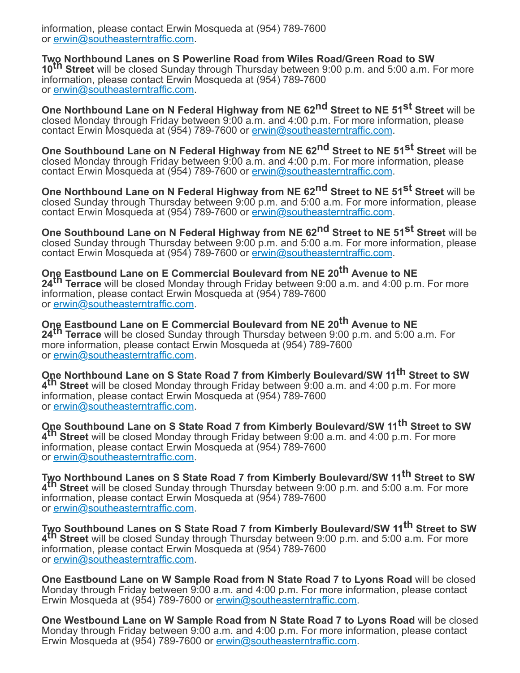information, please contact Erwin Mosqueda at (954) 789-7600 or [erwin@southeasterntraffic.com](mailto:erwin@southeasterntraffic.com).

**Two Northbound Lanes on S Powerline Road from Wiles Road/Green Road to SW 10th Street** will be closed Sunday through Thursday between 9:00 p.m. and 5:00 a.m. For more information, please contact Erwin Mosqueda at (954) 789-7600 or [erwin@southeasterntraffic.com](mailto:erwin@southeasterntraffic.com).

**One Northbound Lane on N Federal Highway from NE 62nd Street to NE 51st Street** will be closed Monday through Friday between 9:00 a.m. and 4:00 p.m. For more information, please contact Erwin Mosqueda at (954) 789-7600 or [erwin@southeasterntraffic.com](mailto:erwin@southeasterntraffic.com).

**One Southbound Lane on N Federal Highway from NE 62nd Street to NE 51st Street** will be closed Monday through Friday between 9:00 a.m. and 4:00 p.m. For more information, please contact Erwin Mosqueda at (954) 789-7600 or [erwin@southeasterntraffic.com](mailto:erwin@southeasterntraffic.com).

**One Northbound Lane on N Federal Highway from NE 62nd Street to NE 51st Street** will be closed Sunday through Thursday between 9:00 p.m. and 5:00 a.m. For more information, please contact Erwin Mosqueda at (954) 789-7600 or [erwin@southeasterntraffic.com](mailto:erwin@southeasterntraffic.com).

**One Southbound Lane on N Federal Highway from NE 62nd Street to NE 51st Street** will be closed Sunday through Thursday between 9:00 p.m. and 5:00 a.m. For more information, please contact Erwin Mosqueda at (954) 789-7600 or [erwin@southeasterntraffic.com](mailto:erwin@southeasterntraffic.com).

**One Eastbound Lane on E Commercial Boulevard from NE 20th Avenue to NE 24th Terrace** will be closed Monday through Friday between 9:00 a.m. and 4:00 p.m. For more information, please contact Erwin Mosqueda at (954) 789-7600 or [erwin@southeasterntraffic.com](mailto:erwin@southeasterntraffic.com).

**One Eastbound Lane on E Commercial Boulevard from NE 20th Avenue to NE 24th Terrace** will be closed Sunday through Thursday between 9:00 p.m. and 5:00 a.m. For more information, please contact Erwin Mosqueda at (954) 789-7600 or [erwin@southeasterntraffic.com](mailto:erwin@southeasterntraffic.com).

**One Northbound Lane on S State Road 7 from Kimberly Boulevard/SW 11 th Street to SW 4 th Street** will be closed Monday through Friday between 9:00 a.m. and 4:00 p.m. For more information, please contact Erwin Mosqueda at (954) 789-7600 or [erwin@southeasterntraffic.com](mailto:erwin@southeasterntraffic.com).

**One Southbound Lane on S State Road 7 from Kimberly Boulevard/SW 11 th Street to SW 4 th Street** will be closed Monday through Friday between 9:00 a.m. and 4:00 p.m. For more information, please contact Erwin Mosqueda at (954) 789-7600 or [erwin@southeasterntraffic.com](mailto:erwin@southeasterntraffic.com).

**Two Northbound Lanes on S State Road 7 from Kimberly Boulevard/SW 11 th Street to SW 4 th Street** will be closed Sunday through Thursday between 9:00 p.m. and 5:00 a.m. For more information, please contact Erwin Mosqueda at (954) 789-7600 or [erwin@southeasterntraffic.com](mailto:erwin@southeasterntraffic.com).

**Two Southbound Lanes on S State Road 7 from Kimberly Boulevard/SW 11 th Street to SW 4 th Street** will be closed Sunday through Thursday between 9:00 p.m. and 5:00 a.m. For more information, please contact Erwin Mosqueda at (954) 789-7600 or [erwin@southeasterntraffic.com](mailto:erwin@southeasterntraffic.com).

**One Eastbound Lane on W Sample Road from N State Road 7 to Lyons Road** will be closed Monday through Friday between 9:00 a.m. and 4:00 p.m. For more information, please contact Erwin Mosqueda at (954) 789-7600 or [erwin@southeasterntraffic.com](mailto:erwin@southeasterntraffic.com).

**One Westbound Lane on W Sample Road from N State Road 7 to Lyons Road** will be closed Monday through Friday between 9:00 a.m. and 4:00 p.m. For more information, please contact Erwin Mosqueda at (954) 789-7600 or [erwin@southeasterntraffic.com](mailto:erwin@southeasterntraffic.com).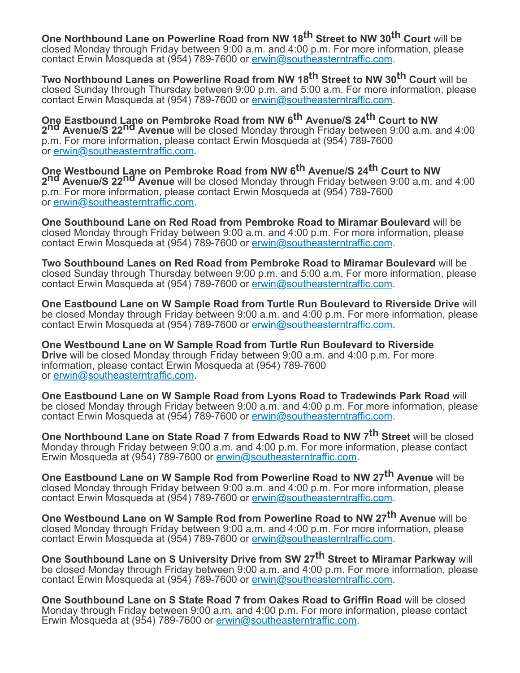**One Northbound Lane on Powerline Road from NW 18th Street to NW 30th Court** will be closed Monday through Friday between 9:00 a.m. and 4:00 p.m. For more information, please contact Erwin Mosqueda at (954) 789-7600 or [erwin@southeasterntraffic.com](mailto:erwin@southeasterntraffic.com).

**Two Northbound Lanes on Powerline Road from NW 18th Street to NW 30th Court** will be closed Sunday through Thursday between 9:00 p.m. and 5:00 a.m. For more information, please contact Erwin Mosqueda at (954) 789-7600 or [erwin@southeasterntraffic.com](mailto:erwin@southeasterntraffic.com).

**One Eastbound Lane on Pembroke Road from NW 6th Avenue/S 24th Court to NW 2nd Avenue/S 22nd Avenue** will be closed Monday through Friday between 9:00 a.m. and 4:00 p.m. For more information, please contact Erwin Mosqueda at (954) 789-7600 or [erwin@southeasterntraffic.com](mailto:erwin@southeasterntraffic.com).

**One Westbound Lane on Pembroke Road from NW 6th Avenue/S 24th Court to NW 2nd Avenue/S 22nd Avenue** will be closed Monday through Friday between 9:00 a.m. and 4:00 p.m. For more information, please contact Erwin Mosqueda at (954) 789-7600 or [erwin@southeasterntraffic.com](mailto:erwin@southeasterntraffic.com).

**One Southbound Lane on Red Road from Pembroke Road to Miramar Boulevard** will be closed Monday through Friday between 9:00 a.m. and 4:00 p.m. For more information, please contact Erwin Mosqueda at (954) 789-7600 or [erwin@southeasterntraffic.com](mailto:erwin@southeasterntraffic.com).

**Two Southbound Lanes on Red Road from Pembroke Road to Miramar Boulevard** will be closed Sunday through Thursday between 9:00 p.m. and 5:00 a.m. For more information, please contact Erwin Mosqueda at (954) 789-7600 or [erwin@southeasterntraffic.com](mailto:erwin@southeasterntraffic.com).

**One Eastbound Lane on W Sample Road from Turtle Run Boulevard to Riverside Drive** will be closed Monday through Friday between 9:00 a.m. and 4:00 p.m. For more information, please contact Erwin Mosqueda at (954) 789-7600 or [erwin@southeasterntraffic.com](mailto:erwin@southeasterntraffic.com).

**One Westbound Lane on W Sample Road from Turtle Run Boulevard to Riverside Drive** will be closed Monday through Friday between 9:00 a.m. and 4:00 p.m. For more information, please contact Erwin Mosqueda at (954) 789-7600 or [erwin@southeasterntraffic.com](mailto:erwin@southeasterntraffic.com).

**One Eastbound Lane on W Sample Road from Lyons Road to Tradewinds Park Road** will be closed Monday through Friday between 9:00 a.m. and 4:00 p.m. For more information, please contact Erwin Mosqueda at (954) 789-7600 or [erwin@southeasterntraffic.com](mailto:erwin@southeasterntraffic.com).

**One Northbound Lane on State Road 7 from Edwards Road to NW 7th Street** will be closed Monday through Friday between 9:00 a.m. and 4:00 p.m. For more information, please contact Erwin Mosqueda at (954) 789-7600 or [erwin@southeasterntraffic.com](mailto:erwin@southeasterntraffic.com).

**One Eastbound Lane on W Sample Rod from Powerline Road to NW 27th Avenue** will be closed Monday through Friday between 9:00 a.m. and 4:00 p.m. For more information, please contact Erwin Mosqueda at (954) 789-7600 or [erwin@southeasterntraffic.com](mailto:erwin@southeasterntraffic.com).

**One Westbound Lane on W Sample Rod from Powerline Road to NW 27th Avenue** will be closed Monday through Friday between 9:00 a.m. and 4:00 p.m. For more information, please contact Erwin Mosqueda at (954) 789-7600 or [erwin@southeasterntraffic.com](mailto:erwin@southeasterntraffic.com).

**One Southbound Lane on S University Drive from SW 27th Street to Miramar Parkway** will be closed Monday through Friday between 9:00 a.m. and 4:00 p.m. For more information, please contact Erwin Mosqueda at (954) 789-7600 or [erwin@southeasterntraffic.com](mailto:erwin@southeasterntraffic.com).

**One Southbound Lane on S State Road 7 from Oakes Road to Griffin Road** will be closed Monday through Friday between 9:00 a.m. and 4:00 p.m. For more information, please contact Erwin Mosqueda at (954) 789-7600 or [erwin@southeasterntraffic.com](mailto:erwin@southeasterntraffic.com).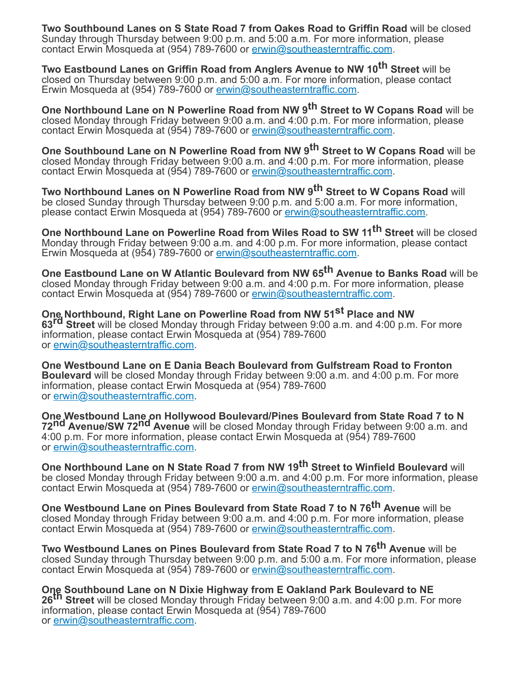**Two Southbound Lanes on S State Road 7 from Oakes Road to Griffin Road** will be closed Sunday through Thursday between 9:00 p.m. and 5:00 a.m. For more information, please contact Erwin Mosqueda at (954) 789-7600 or [erwin@southeasterntraffic.com](mailto:erwin@southeasterntraffic.com).

**Two Eastbound Lanes on Griffin Road from Anglers Avenue to NW 10th Street** will be closed on Thursday between 9:00 p.m. and 5:00 a.m. For more information, please contact Erwin Mosqueda at (954) 789-7600 or [erwin@southeasterntraffic.com](mailto:erwin@southeasterntraffic.com).

**One Northbound Lane on N Powerline Road from NW 9th Street to W Copans Road** will be closed Monday through Friday between 9:00 a.m. and 4:00 p.m. For more information, please contact Erwin Mosqueda at (954) 789-7600 or [erwin@southeasterntraffic.com](mailto:erwin@southeasterntraffic.com).

**One Southbound Lane on N Powerline Road from NW 9th Street to W Copans Road** will be closed Monday through Friday between 9:00 a.m. and 4:00 p.m. For more information, please contact Erwin Mosqueda at (954) 789-7600 or [erwin@southeasterntraffic.com](mailto:erwin@southeasterntraffic.com).

**Two Northbound Lanes on N Powerline Road from NW 9th Street to W Copans Road** will be closed Sunday through Thursday between 9:00 p.m. and 5:00 a.m. For more information, please contact Erwin Mosqueda at (954) 789-7600 or [erwin@southeasterntraffic.com.](mailto:erwin@southeasterntraffic.com)

**One Northbound Lane on Powerline Road from Wiles Road to SW 11 th Street** will be closed Monday through Friday between 9:00 a.m. and 4:00 p.m. For more information, please contact Erwin Mosqueda at (954) 789-7600 or [erwin@southeasterntraffic.com](mailto:erwin@southeasterntraffic.com).

**One Eastbound Lane on W Atlantic Boulevard from NW 65th Avenue to Banks Road** will be closed Monday through Friday between 9:00 a.m. and 4:00 p.m. For more information, please contact Erwin Mosqueda at (954) 789-7600 or [erwin@southeasterntraffic.com](mailto:erwin@southeasterntraffic.com).

**One Northbound, Right Lane on Powerline Road from NW 51st Place and NW 63rd Street** will be closed Monday through Friday between 9:00 a.m. and 4:00 p.m. For more information, please contact Erwin Mosqueda at (954) 789-7600 or [erwin@southeasterntraffic.com](mailto:erwin@southeasterntraffic.com).

**One Westbound Lane on E Dania Beach Boulevard from Gulfstream Road to Fronton Boulevard** will be closed Monday through Friday between 9:00 a.m. and 4:00 p.m. For more information, please contact Erwin Mosqueda at (954) 789-7600 or [erwin@southeasterntraffic.com](mailto:erwin@southeasterntraffic.com).

**One Westbound Lane on Hollywood Boulevard/Pines Boulevard from State Road 7 to N 72nd Avenue/SW 72nd Avenue** will be closed Monday through Friday between 9:00 a.m. and 4:00 p.m. For more information, please contact Erwin Mosqueda at (954) 789-7600 or [erwin@southeasterntraffic.com](mailto:erwin@southeasterntraffic.com).

**One Northbound Lane on N State Road 7 from NW 19th Street to Winfield Boulevard** will be closed Monday through Friday between 9:00 a.m. and 4:00 p.m. For more information, please contact Erwin Mosqueda at (954) 789-7600 or [erwin@southeasterntraffic.com](mailto:erwin@southeasterntraffic.com).

**One Westbound Lane on Pines Boulevard from State Road 7 to N 76th Avenue** will be closed Monday through Friday between 9:00 a.m. and 4:00 p.m. For more information, please contact Erwin Mosqueda at (954) 789-7600 or [erwin@southeasterntraffic.com](mailto:erwin@southeasterntraffic.com).

**Two Westbound Lanes on Pines Boulevard from State Road 7 to N 76th Avenue** will be closed Sunday through Thursday between 9:00 p.m. and 5:00 a.m. For more information, please contact Erwin Mosqueda at (954) 789-7600 or [erwin@southeasterntraffic.com](mailto:erwin@southeasterntraffic.com).

**One Southbound Lane on N Dixie Highway from E Oakland Park Boulevard to NE 26th Street** will be closed Monday through Friday between 9:00 a.m. and 4:00 p.m. For more information, please contact Erwin Mosqueda at (954) 789-7600 or [erwin@southeasterntraffic.com](mailto:erwin@southeasterntraffic.com).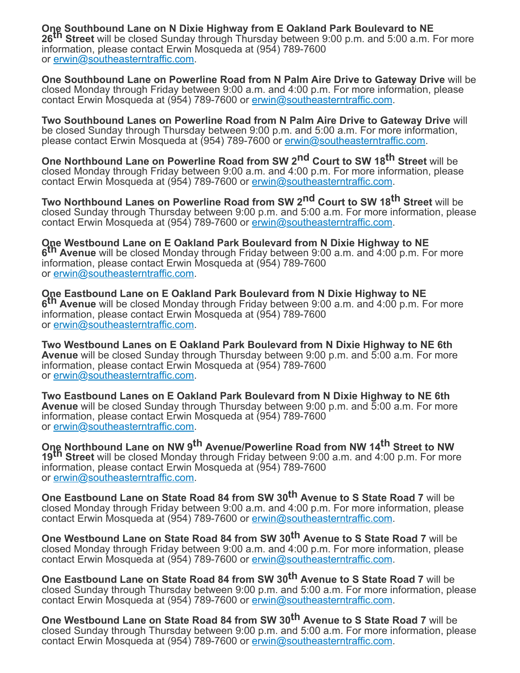**One Southbound Lane on N Dixie Highway from E Oakland Park Boulevard to NE 26th Street** will be closed Sunday through Thursday between 9:00 p.m. and 5:00 a.m. For more information, please contact Erwin Mosqueda at (954) 789-7600 or [erwin@southeasterntraffic.com](mailto:erwin@southeasterntraffic.com).

**One Southbound Lane on Powerline Road from N Palm Aire Drive to Gateway Drive** will be closed Monday through Friday between 9:00 a.m. and 4:00 p.m. For more information, please contact Erwin Mosqueda at (954) 789-7600 or [erwin@southeasterntraffic.com](mailto:erwin@southeasterntraffic.com).

**Two Southbound Lanes on Powerline Road from N Palm Aire Drive to Gateway Drive** will be closed Sunday through Thursday between 9:00 p.m. and 5:00 a.m. For more information, please contact Erwin Mosqueda at (954) 789-7600 or [erwin@southeasterntraffic.com.](mailto:erwin@southeasterntraffic.com)

**One Northbound Lane on Powerline Road from SW 2nd Court to SW 18th Street** will be closed Monday through Friday between 9:00 a.m. and 4:00 p.m. For more information, please contact Erwin Mosqueda at (954) 789-7600 or [erwin@southeasterntraffic.com](mailto:erwin@southeasterntraffic.com).

**Two Northbound Lanes on Powerline Road from SW 2nd Court to SW 18th Street** will be closed Sunday through Thursday between 9:00 p.m. and 5:00 a.m. For more information, please contact Erwin Mosqueda at (954) 789-7600 or [erwin@southeasterntraffic.com](mailto:erwin@southeasterntraffic.com).

**One Westbound Lane on E Oakland Park Boulevard from N Dixie Highway to NE 6 th Avenue** will be closed Monday through Friday between 9:00 a.m. and 4:00 p.m. For more information, please contact Erwin Mosqueda at (954) 789-7600 or [erwin@southeasterntraffic.com](mailto:erwin@southeasterntraffic.com).

**One Eastbound Lane on E Oakland Park Boulevard from N Dixie Highway to NE 6 th Avenue** will be closed Monday through Friday between 9:00 a.m. and 4:00 p.m. For more information, please contact Erwin Mosqueda at (954) 789-7600 or [erwin@southeasterntraffic.com](mailto:erwin@southeasterntraffic.com).

**Two Westbound Lanes on E Oakland Park Boulevard from N Dixie Highway to NE 6th Avenue** will be closed Sunday through Thursday between 9:00 p.m. and 5:00 a.m. For more information, please contact Erwin Mosqueda at (954) 789-7600 or [erwin@southeasterntraffic.com](mailto:erwin@southeasterntraffic.com).

**Two Eastbound Lanes on E Oakland Park Boulevard from N Dixie Highway to NE 6th Avenue** will be closed Sunday through Thursday between 9:00 p.m. and 5:00 a.m. For more information, please contact Erwin Mosqueda at (954) 789-7600 or [erwin@southeasterntraffic.com](mailto:erwin@southeasterntraffic.com).

**One Northbound Lane on NW 9th Avenue/Powerline Road from NW 14th Street to NW 19th Street** will be closed Monday through Friday between 9:00 a.m. and 4:00 p.m. For more information, please contact Erwin Mosqueda at (954) 789-7600 or [erwin@southeasterntraffic.com](mailto:erwin@southeasterntraffic.com).

**One Eastbound Lane on State Road 84 from SW 30th Avenue to S State Road 7** will be closed Monday through Friday between 9:00 a.m. and 4:00 p.m. For more information, please contact Erwin Mosqueda at (954) 789-7600 or [erwin@southeasterntraffic.com](mailto:erwin@southeasterntraffic.com).

**One Westbound Lane on State Road 84 from SW 30th Avenue to S State Road 7** will be closed Monday through Friday between 9:00 a.m. and 4:00 p.m. For more information, please contact Erwin Mosqueda at (954) 789-7600 or [erwin@southeasterntraffic.com](mailto:erwin@southeasterntraffic.com).

**One Eastbound Lane on State Road 84 from SW 30th Avenue to S State Road 7** will be closed Sunday through Thursday between 9:00 p.m. and 5:00 a.m. For more information, please contact Erwin Mosqueda at (954) 789-7600 or [erwin@southeasterntraffic.com](mailto:erwin@southeasterntraffic.com).

**One Westbound Lane on State Road 84 from SW 30th Avenue to S State Road 7** will be closed Sunday through Thursday between 9:00 p.m. and 5:00 a.m. For more information, please contact Erwin Mosqueda at (954) 789-7600 or [erwin@southeasterntraffic.com](mailto:erwin@southeasterntraffic.com).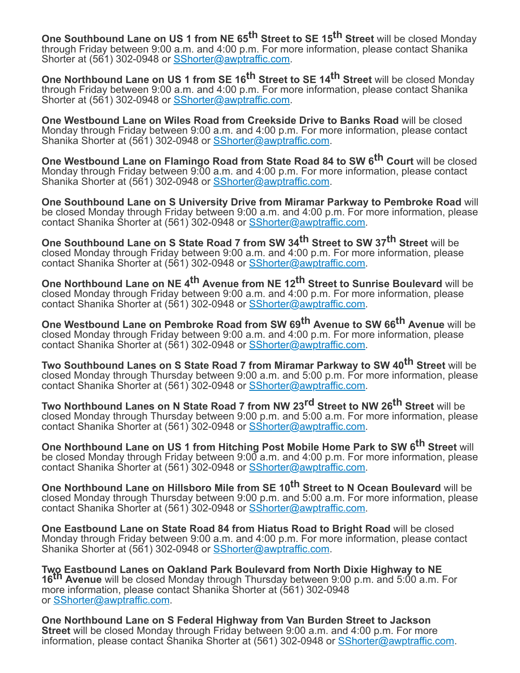**One Southbound Lane on US 1 from NE 65th Street to SE 15th Street** will be closed Monday through Friday between 9:00 a.m. and 4:00 p.m. For more information, please contact Shanika Shorter at (561) 302-0948 or [SShorter@awptraffic.com](mailto:SShorter@awptraffic.com).

**One Northbound Lane on US 1 from SE 16th Street to SE 14th Street** will be closed Monday through Friday between 9:00 a.m. and 4:00 p.m. For more information, please contact Shanika Shorter at (561) 302-0948 or [SShorter@awptraffic.com](mailto:SShorter@awptraffic.com).

**One Westbound Lane on Wiles Road from Creekside Drive to Banks Road** will be closed Monday through Friday between 9:00 a.m. and 4:00 p.m. For more information, please contact Shanika Shorter at (561) 302-0948 or [SShorter@awptraffic.com](mailto:SShorter@awptraffic.com).

**One Westbound Lane on Flamingo Road from State Road 84 to SW 6th Court** will be closed Monday through Friday between 9:00 a.m. and 4:00 p.m. For more information, please contact Shanika Shorter at (561) 302-0948 or **[SShorter@awptraffic.com](mailto:SShorter@awptraffic.com)**.

**One Southbound Lane on S University Drive from Miramar Parkway to Pembroke Road** will be closed Monday through Friday between 9:00 a.m. and 4:00 p.m. For more information, please contact Shanika Shorter at (561) 302-0948 or [SShorter@awptraffic.com](mailto:SShorter@awptraffic.com).

**One Southbound Lane on S State Road 7 from SW 34th Street to SW 37th Street** will be closed Monday through Friday between 9:00 a.m. and 4:00 p.m. For more information, please contact Shanika Shorter at (561) 302-0948 or [SShorter@awptraffic.com](mailto:SShorter@awptraffic.com).

**One Northbound Lane on NE 4th Avenue from NE 12th Street to Sunrise Boulevard** will be closed Monday through Friday between 9:00 a.m. and 4:00 p.m. For more information, please contact Shanika Shorter at (561) 302-0948 or [SShorter@awptraffic.com](mailto:SShorter@awptraffic.com).

**One Westbound Lane on Pembroke Road from SW 69th Avenue to SW 66th Avenue** will be closed Monday through Friday between 9:00 a.m. and 4:00 p.m. For more information, please contact Shanika Shorter at (561) 302-0948 or [SShorter@awptraffic.com](mailto:SShorter@awptraffic.com).

**Two Southbound Lanes on S State Road 7 from Miramar Parkway to SW 40th Street** will be closed Monday through Thursday between 9:00 a.m. and 5:00 p.m. For more information, please contact Shanika Shorter at (561) 302-0948 or [SShorter@awptraffic.com](mailto:SShorter@awptraffic.com).

**Two Northbound Lanes on N State Road 7 from NW 23rd Street to NW 26th Street** will be closed Monday through Thursday between 9:00 p.m. and 5:00 a.m. For more information, please contact Shanika Shorter at (561) 302-0948 or [SShorter@awptraffic.com](mailto:SShorter@awptraffic.com).

**One Northbound Lane on US 1 from Hitching Post Mobile Home Park to SW 6th Street** will be closed Monday through Friday between 9:00 a.m. and 4:00 p.m. For more information, please contact Shanika Shorter at (561) 302-0948 or [SShorter@awptraffic.com](mailto:SShorter@awptraffic.com).

**One Northbound Lane on Hillsboro Mile from SE 10th Street to N Ocean Boulevard** will be closed Monday through Thursday between 9:00 p.m. and 5:00 a.m. For more information, please contact Shanika Shorter at (561) 302-0948 or [SShorter@awptraffic.com](mailto:SShorter@awptraffic.com).

**One Eastbound Lane on State Road 84 from Hiatus Road to Bright Road** will be closed Monday through Friday between 9:00 a.m. and 4:00 p.m. For more information, please contact Shanika Shorter at (561) 302-0948 or [SShorter@awptraffic.com](mailto:SShorter@awptraffic.com).

**Two Eastbound Lanes on Oakland Park Boulevard from North Dixie Highway to NE 16th Avenue** will be closed Monday through Thursday between 9:00 p.m. and 5:00 a.m. For more information, please contact Shanika Shorter at (561) 302-0948 or [SShorter@awptraffic.com.](mailto:SShorter@awptraffic.com)

**One Northbound Lane on S Federal Highway from Van Burden Street to Jackson Street** will be closed Monday through Friday between 9:00 a.m. and 4:00 p.m. For more information, please contact Shanika Shorter at (561) 302-0948 or [SShorter@awptraffic.com.](mailto:SShorter@awptraffic.com)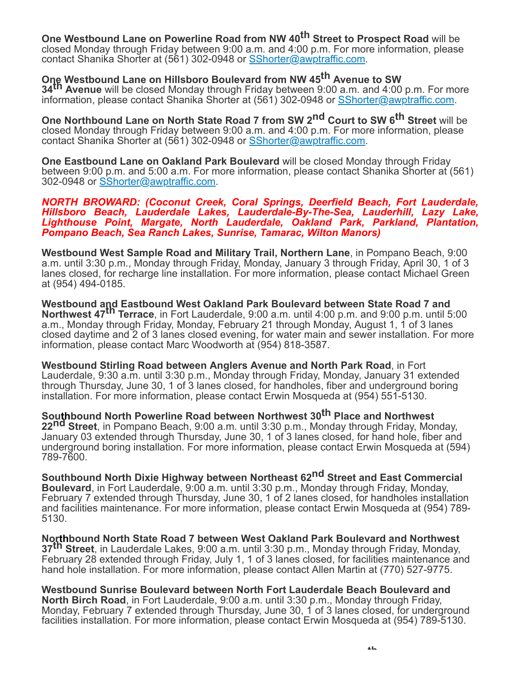**One Westbound Lane on Powerline Road from NW 40th Street to Prospect Road** will be

closed Monday through Friday between 9:00 a.m. and 4:00 p.m. For more information, please contact Shanika Shorter at (561) 302-0948 or [SShorter@awptraffic.com](mailto:SShorter@awptraffic.com).

# **One Westbound Lane on Hillsboro Boulevard from NW 45th Avenue to SW**

**34th Avenue** will be closed Monday through Friday between 9:00 a.m. and 4:00 p.m. For more information, please contact Shanika Shorter at (561) 302-0948 or [SShorter@awptraffic.com.](mailto:SShorter@awptraffic.com)

**One Northbound Lane on North State Road 7 from SW 2nd Court to SW 6th Street** will be closed Monday through Friday between 9:00 a.m. and 4:00 p.m. For more information, please contact Shanika Shorter at (561) 302-0948 or [SShorter@awptraffic.com](mailto:SShorter@awptraffic.com).

**One Eastbound Lane on Oakland Park Boulevard** will be closed Monday through Friday between 9:00 p.m. and 5:00 a.m. For more information, please contact Shanika Shorter at (561) 302-0948 or **[SShorter@awptraffic.com.](mailto:SShorter@awptraffic.com)** 

*NORTH BROWARD: (Coconut Creek, Coral Springs, Deerfield Beach, Fort Lauderdale, Hillsboro Beach, Lauderdale Lakes, Lauderdale-By-The-Sea, Lauderhill, Lazy Lake, Lighthouse Point, Margate, North Lauderdale, Oakland Park, Parkland, Plantation, Pompano Beach, Sea Ranch Lakes, Sunrise, Tamarac, Wilton Manors)*

**Westbound West Sample Road and Military Trail, Northern Lane**, in Pompano Beach, 9:00 a.m. until 3:30 p.m., Monday through Friday, Monday, January 3 through Friday, April 30, 1 of 3 lanes closed, for recharge line installation. For more information, please contact Michael Green at (954) 494-0185.

**Westbound and Eastbound West Oakland Park Boulevard between State Road 7 and Northwest 47th Terrace**, in Fort Lauderdale, 9:00 a.m. until 4:00 p.m. and 9:00 p.m. until 5:00 a.m., Monday through Friday, Monday, February 21 through Monday, August 1, 1 of 3 lanes closed daytime and 2 of 3 lanes closed evening, for water main and sewer installation. For more information, please contact Marc Woodworth at (954) 818-3587.

**Westbound Stirling Road between Anglers Avenue and North Park Road**, in Fort Lauderdale, 9:30 a.m. until 3:30 p.m., Monday through Friday, Monday, January 31 extended through Thursday, June 30, 1 of 3 lanes closed, for handholes, fiber and underground boring installation. For more information, please contact Erwin Mosqueda at (954) 551-5130.

**Southbound North Powerline Road between Northwest 30th Place and Northwest 22nd Street**, in Pompano Beach, 9:00 a.m. until 3:30 p.m., Monday through Friday, Monday, January 03 extended through Thursday, June 30, 1 of 3 lanes closed, for hand hole, fiber and underground boring installation. For more information, please contact Erwin Mosqueda at (594) 789-7600.

**Southbound North Dixie Highway between Northeast 62nd Street and East Commercial Boulevard**, in Fort Lauderdale, 9:00 a.m. until 3:30 p.m., Monday through Friday, Monday, February 7 extended through Thursday, June 30, 1 of 2 lanes closed, for handholes installation and facilities maintenance. For more information, please contact Erwin Mosqueda at (954) 789- 5130.

**Northbound North State Road 7 between West Oakland Park Boulevard and Northwest 37th Street**, in Lauderdale Lakes, 9:00 a.m. until 3:30 p.m., Monday through Friday, Monday, February 28 extended through Friday, July 1, 1 of 3 lanes closed, for facilities maintenance and hand hole installation. For more information, please contact Allen Martin at (770) 527-9775.

**Westbound Sunrise Boulevard between North Fort Lauderdale Beach Boulevard and North Birch Road**, in Fort Lauderdale, 9:00 a.m. until 3:30 p.m., Monday through Friday, Monday, February 7 extended through Thursday, June 30, 1 of 3 lanes closed, for underground facilities installation. For more information, please contact Erwin Mosqueda at (954) 789-5130.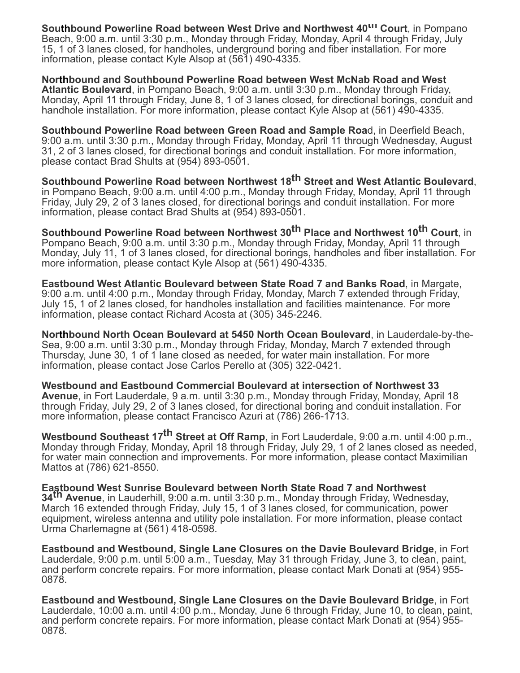**Southbound Powerline Road between West Drive and Northwest 40th Court**, in Pompano Beach, 9:00 a.m. until 3:30 p.m., Monday through Friday, Monday, April 4 through Friday, July 15, 1 of 3 lanes closed, for handholes, underground boring and fiber installation. For more information, please contact Kyle Alsop at (561) 490-4335.

**Northbound and Southbound Powerline Road between West McNab Road and West Atlantic Boulevard**, in Pompano Beach, 9:00 a.m. until 3:30 p.m., Monday through Friday, Monday, April 11 through Friday, June 8, 1 of 3 lanes closed, for directional borings, conduit and handhole installation. For more information, please contact Kyle Alsop at (561) 490-4335.

**Southbound Powerline Road between Green Road and Sample Roa**d, in Deerfield Beach, 9:00 a.m. until 3:30 p.m., Monday through Friday, Monday, April 11 through Wednesday, August 31, 2 of 3 lanes closed, for directional borings and conduit installation. For more information, please contact Brad Shults at (954) 893-0501.

**Southbound Powerline Road between Northwest 18th Street and West Atlantic Boulevard**, in Pompano Beach, 9:00 a.m. until 4:00 p.m., Monday through Friday, Monday, April 11 through Friday, July 29, 2 of 3 lanes closed, for directional borings and conduit installation. For more information, please contact Brad Shults at (954) 893-0501.

**Southbound Powerline Road between Northwest 30th Place and Northwest 10th Court**, in Pompano Beach, 9:00 a.m. until 3:30 p.m., Monday through Friday, Monday, April 11 through Monday, July 11, 1 of 3 lanes closed, for directional borings, handholes and fiber installation. For more information, please contact Kyle Alsop at (561) 490-4335.

**Eastbound West Atlantic Boulevard between State Road 7 and Banks Road**, in Margate, 9:00 a.m. until 4:00 p.m., Monday through Friday, Monday, March 7 extended through Friday, July 15, 1 of 2 lanes closed, for handholes installation and facilities maintenance. For more information, please contact Richard Acosta at (305) 345-2246.

**Northbound North Ocean Boulevard at 5450 North Ocean Boulevard**, in Lauderdale-by-the-Sea, 9:00 a.m. until 3:30 p.m., Monday through Friday, Monday, March 7 extended through Thursday, June 30, 1 of 1 lane closed as needed, for water main installation. For more information, please contact Jose Carlos Perello at (305) 322-0421.

**Westbound and Eastbound Commercial Boulevard at intersection of Northwest 33 Avenue**, in Fort Lauderdale, 9 a.m. until 3:30 p.m., Monday through Friday, Monday, April 18 through Friday, July 29, 2 of 3 lanes closed, for directional boring and conduit installation. For more information, please contact Francisco Azuri at (786) 266-1713.

**Westbound Southeast 17th Street at Off Ramp**, in Fort Lauderdale, 9:00 a.m. until 4:00 p.m., Monday through Friday, Monday, April 18 through Friday, July 29, 1 of 2 lanes closed as needed, for water main connection and improvements. For more information, please contact Maximilian Mattos at (786) 621-8550.

**Eastbound West Sunrise Boulevard between North State Road 7 and Northwest 34th Avenue**, in Lauderhill, 9:00 a.m. until 3:30 p.m., Monday through Friday, Wednesday, March 16 extended through Friday, July 15, 1 of 3 lanes closed, for communication, power equipment, wireless antenna and utility pole installation. For more information, please contact Urma Charlemagne at (561) 418-0598.

**Eastbound and Westbound, Single Lane Closures on the Davie Boulevard Bridge**, in Fort Lauderdale, 9:00 p.m. until 5:00 a.m., Tuesday, May 31 through Friday, June 3, to clean, paint, and perform concrete repairs. For more information, please contact Mark Donati at (954) 955- 0878.

**Eastbound and Westbound, Single Lane Closures on the Davie Boulevard Bridge**, in Fort Lauderdale, 10:00 a.m. until 4:00 p.m., Monday, June 6 through Friday, June 10, to clean, paint, and perform concrete repairs. For more information, please contact Mark Donati at (954) 955- 0878.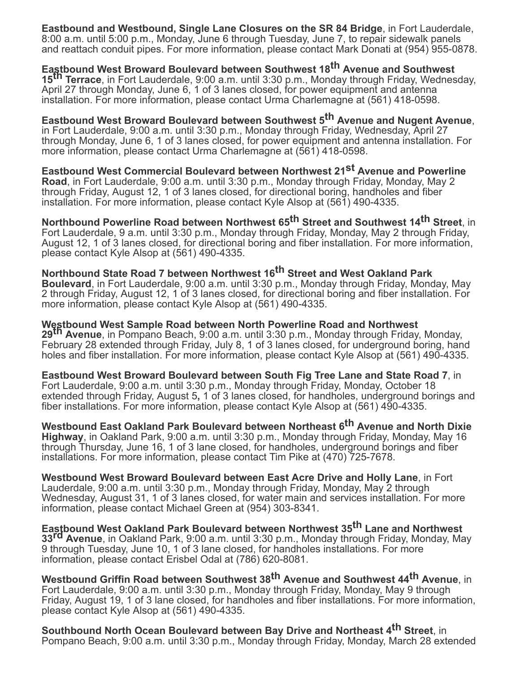**Eastbound and Westbound, Single Lane Closures on the SR 84 Bridge**, in Fort Lauderdale, 8:00 a.m. until 5:00 p.m., Monday, June 6 through Tuesday, June 7, to repair sidewalk panels and reattach conduit pipes. For more information, please contact Mark Donati at (954) 955-0878.

**Eastbound West Broward Boulevard between Southwest 18th Avenue and Southwest 15th Terrace**, in Fort Lauderdale, 9:00 a.m. until 3:30 p.m., Monday through Friday, Wednesday, April 27 through Monday, June 6, 1 of 3 lanes closed, for power equipment and antenna installation. For more information, please contact Urma Charlemagne at (561) 418-0598.

**Eastbound West Broward Boulevard between Southwest 5th Avenue and Nugent Avenue**, in Fort Lauderdale, 9:00 a.m. until 3:30 p.m., Monday through Friday, Wednesday, April 27 through Monday, June 6, 1 of 3 lanes closed, for power equipment and antenna installation. For more information, please contact Urma Charlemagne at (561) 418-0598.

**Eastbound West Commercial Boulevard between Northwest 21st Avenue and Powerline Road**, in Fort Lauderdale, 9:00 a.m. until 3:30 p.m., Monday through Friday, Monday, May 2 through Friday, August 12, 1 of 3 lanes closed, for directional boring, handholes and fiber installation. For more information, please contact Kyle Alsop at (561) 490-4335.

**Northbound Powerline Road between Northwest 65th Street and Southwest 14th Street**, in Fort Lauderdale, 9 a.m. until 3:30 p.m., Monday through Friday, Monday, May 2 through Friday, August 12, 1 of 3 lanes closed, for directional boring and fiber installation. For more information, please contact Kyle Alsop at (561) 490-4335.

**Northbound State Road 7 between Northwest 16th Street and West Oakland Park Boulevard**, in Fort Lauderdale, 9:00 a.m. until 3:30 p.m., Monday through Friday, Monday, May 2 through Friday, August 12, 1 of 3 lanes closed, for directional boring and fiber installation. For more information, please contact Kyle Alsop at (561) 490-4335.

**Westbound West Sample Road between North Powerline Road and Northwest 29th Avenue**, in Pompano Beach, 9:00 a.m. until 3:30 p.m., Monday through Friday, Monday, February 28 extended through Friday, July 8, 1 of 3 lanes closed, for underground boring, hand holes and fiber installation. For more information, please contact Kyle Alsop at (561) 490-4335.

**Eastbound West Broward Boulevard between South Fig Tree Lane and State Road 7**, in Fort Lauderdale, 9:00 a.m. until 3:30 p.m., Monday through Friday, Monday, October 18 extended through Friday, August 5**,** 1 of 3 lanes closed, for handholes, underground borings and fiber installations. For more information, please contact Kyle Alsop at (561) 490-4335.

**Westbound East Oakland Park Boulevard between Northeast 6th Avenue and North Dixie Highway**, in Oakland Park, 9:00 a.m. until 3:30 p.m., Monday through Friday, Monday, May 16 through Thursday, June 16, 1 of 3 lane closed, for handholes, underground borings and fiber installations. For more information, please contact Tim Pike at (470) 725-7678.

**Westbound West Broward Boulevard between East Acre Drive and Holly Lane**, in Fort Lauderdale, 9:00 a.m. until 3:30 p.m., Monday through Friday, Monday, May 2 through Wednesday, August 31, 1 of 3 lanes closed, for water main and services installation. For more information, please contact Michael Green at (954) 303-8341.

**Eastbound West Oakland Park Boulevard between Northwest 35th Lane and Northwest 33rd Avenue**, in Oakland Park, 9:00 a.m. until 3:30 p.m., Monday through Friday, Monday, May 9 through Tuesday, June 10, 1 of 3 lane closed, for handholes installations. For more information, please contact Erisbel Odal at (786) 620-8081.

**Westbound Griffin Road between Southwest 38th Avenue and Southwest 44th Avenue**, in Fort Lauderdale, 9:00 a.m. until 3:30 p.m., Monday through Friday, Monday, May 9 through Friday, August 19, 1 of 3 lane closed, for handholes and fiber installations. For more information, please contact Kyle Alsop at (561) 490-4335.

**Southbound North Ocean Boulevard between Bay Drive and Northeast 4th Street**, in Pompano Beach, 9:00 a.m. until 3:30 p.m., Monday through Friday, Monday, March 28 extended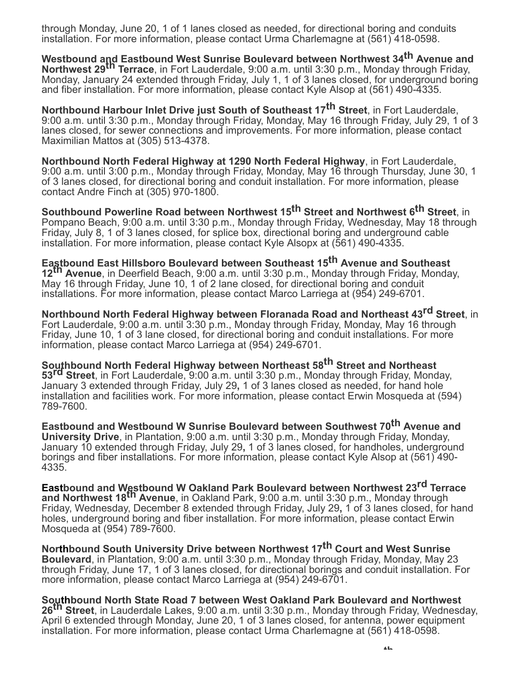through Monday, June 20, 1 of 1 lanes closed as needed, for directional boring and conduits installation. For more information, please contact Urma Charlemagne at (561) 418-0598.

**Westbound and Eastbound West Sunrise Boulevard between Northwest 34th Avenue and Northwest 29th Terrace**, in Fort Lauderdale, 9:00 a.m. until 3:30 p.m., Monday through Friday, Monday, January 24 extended through Friday, July 1, 1 of 3 lanes closed, for underground boring and fiber installation. For more information, please contact Kyle Alsop at (561) 490-4335.

**Northbound Harbour Inlet Drive just South of Southeast 17th Street**, in Fort Lauderdale, 9:00 a.m. until 3:30 p.m., Monday through Friday, Monday, May 16 through Friday, July 29, 1 of 3 lanes closed, for sewer connections and improvements. For more information, please contact Maximilian Mattos at (305) 513-4378.

**Northbound North Federal Highway at 1290 North Federal Highway**, in Fort Lauderdale, 9:00 a.m. until 3:00 p.m., Monday through Friday, Monday, May 16 through Thursday, June 30, 1 of 3 lanes closed, for directional boring and conduit installation. For more information, please contact Andre Finch at (305) 970-1800.

**Southbound Powerline Road between Northwest 15th Street and Northwest 6th Street**, in Pompano Beach, 9:00 a.m. until 3:30 p.m., Monday through Friday, Wednesday, May 18 through Friday, July 8, 1 of 3 lanes closed, for splice box, directional boring and underground cable installation. For more information, please contact Kyle Alsopx at (561) 490-4335.

**Eastbound East Hillsboro Boulevard between Southeast 15th Avenue and Southeast 12th Avenue**, in Deerfield Beach, 9:00 a.m. until 3:30 p.m., Monday through Friday, Monday, May 16 through Friday, June 10, 1 of 2 lane closed, for directional boring and conduit installations. For more information, please contact Marco Larriega at (954) 249-6701.

**Northbound North Federal Highway between Floranada Road and Northeast 43rd Street**, in Fort Lauderdale, 9:00 a.m. until 3:30 p.m., Monday through Friday, Monday, May 16 through Friday, June 10, 1 of 3 lane closed, for directional boring and conduit installations. For more information, please contact Marco Larriega at (954) 249-6701.

**Southbound North Federal Highway between Northeast 58th Street and Northeast 53rd Street**, in Fort Lauderdale, 9:00 a.m. until 3:30 p.m., Monday through Friday, Monday, January 3 extended through Friday, July 29**,** 1 of 3 lanes closed as needed, for hand hole installation and facilities work. For more information, please contact Erwin Mosqueda at (594) 789-7600.

**Eastbound and Westbound W Sunrise Boulevard between Southwest 70th Avenue and University Drive**, in Plantation, 9:00 a.m. until 3:30 p.m., Monday through Friday, Monday, January 10 extended through Friday, July 29**,** 1 of 3 lanes closed, for handholes, underground borings and fiber installations. For more information, please contact Kyle Alsop at (561) 490- 4335.

**Eastbound and Westbound W Oakland Park Boulevard between Northwest 23rd Terrace and Northwest 18th Avenue**, in Oakland Park, 9:00 a.m. until 3:30 p.m., Monday through Friday, Wednesday, December 8 extended through Friday, July 29**,** 1 of 3 lanes closed, for hand holes, underground boring and fiber installation. For more information, please contact Erwin Mosqueda at (954) 789-7600.

**Northbound South University Drive between Northwest 17th Court and West Sunrise Boulevard**, in Plantation, 9:00 a.m. until 3:30 p.m., Monday through Friday, Monday, May 23 through Friday, June 17, 1 of 3 lanes closed, for directional borings and conduit installation. For more information, please contact Marco Larriega at (954) 249-6701.

**Southbound North State Road 7 between West Oakland Park Boulevard and Northwest 26th Street**, in Lauderdale Lakes, 9:00 a.m. until 3:30 p.m., Monday through Friday, Wednesday, April 6 extended through Monday, June 20, 1 of 3 lanes closed, for antenna, power equipment installation. For more information, please contact Urma Charlemagne at (561) 418-0598.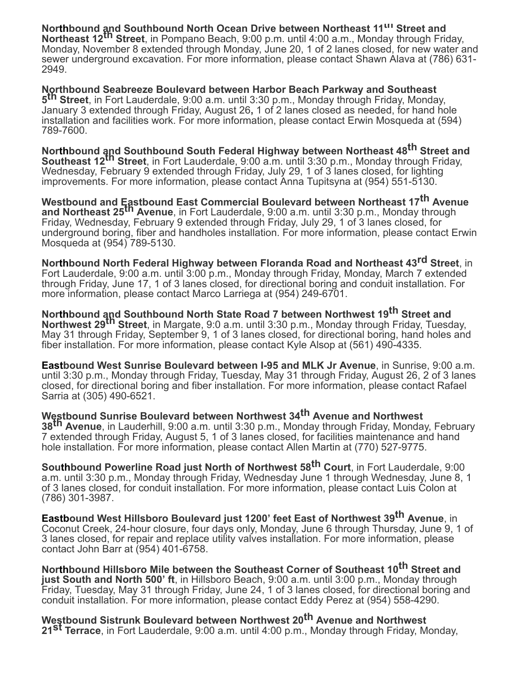**Northbound and Southbound North Ocean Drive between Northeast 11<sup>th</sup> Street and Northeast 12th Street**, in Pompano Beach, 9:00 p.m. until 4:00 a.m., Monday through Friday, Monday, November 8 extended through Monday, June 20, 1 of 2 lanes closed, for new water and sewer underground excavation. For more information, please contact Shawn Alava at (786) 631- 2949.

**Northbound Seabreeze Boulevard between Harbor Beach Parkway and Southeast 5 th Street**, in Fort Lauderdale, 9:00 a.m. until 3:30 p.m., Monday through Friday, Monday, January 3 extended through Friday, August 26**,** 1 of 2 lanes closed as needed, for hand hole installation and facilities work. For more information, please contact Erwin Mosqueda at (594) 789-7600.

**Northbound and Southbound South Federal Highway between Northeast 48<sup>th</sup> Street and Southeast 12th Street**, in Fort Lauderdale, 9:00 a.m. until 3:30 p.m., Monday through Friday, Wednesday, February 9 extended through Friday, July 29, 1 of 3 lanes closed, for lighting improvements. For more information, please contact Anna Tupitsyna at (954) 551-5130.

**Westbound and Eastbound East Commercial Boulevard between Northeast 17th Avenue and Northeast 25th Avenue**, in Fort Lauderdale, 9:00 a.m. until 3:30 p.m., Monday through Friday, Wednesday, February 9 extended through Friday, July 29, 1 of 3 lanes closed, for underground boring, fiber and handholes installation. For more information, please contact Erwin Mosqueda at (954) 789-5130.

**Northbound North Federal Highway between Floranda Road and Northeast 43rd Street**, in Fort Lauderdale, 9:00 a.m. until 3:00 p.m., Monday through Friday, Monday, March 7 extended through Friday, June 17, 1 of 3 lanes closed, for directional boring and conduit installation. For more information, please contact Marco Larriega at (954) 249-6701.

**Northbound and Southbound North State Road 7 between Northwest 19th Street and Northwest 29th Street**, in Margate, 9:0 a.m. until 3:30 p.m., Monday through Friday, Tuesday, May 31 through Friday, September 9, 1 of 3 lanes closed, for directional boring, hand holes and fiber installation. For more information, please contact Kyle Alsop at (561) 490-4335.

**Eastbound West Sunrise Boulevard between I-95 and MLK Jr Avenue**, in Sunrise, 9:00 a.m. until 3:30 p.m., Monday through Friday, Tuesday, May 31 through Friday, August 26, 2 of 3 lanes closed, for directional boring and fiber installation. For more information, please contact Rafael Sarria at (305) 490-6521.

**Westbound Sunrise Boulevard between Northwest 34th Avenue and Northwest 38th Avenue**, in Lauderhill, 9:00 a.m. until 3:30 p.m., Monday through Friday, Monday, February 7 extended through Friday, August 5, 1 of 3 lanes closed, for facilities maintenance and hand hole installation. For more information, please contact Allen Martin at (770) 527-9775.

**Southbound Powerline Road just North of Northwest 58th Court**, in Fort Lauderdale, 9:00 a.m. until 3:30 p.m., Monday through Friday, Wednesday June 1 through Wednesday, June 8, 1 of 3 lanes closed, for conduit installation. For more information, please contact Luis Colon at (786) 301-3987.

**Eastbound West Hillsboro Boulevard just 1200' feet East of Northwest 39th Avenue**, in Coconut Creek, 24-hour closure, four days only, Monday, June 6 through Thursday, June 9, 1 of 3 lanes closed, for repair and replace utility valves installation. For more information, please contact John Barr at (954) 401-6758.

**Northbound Hillsboro Mile between the Southeast Corner of Southeast 10th Street and just South and North 500' ft**, in Hillsboro Beach, 9:00 a.m. until 3:00 p.m., Monday through Friday, Tuesday, May 31 through Friday, June 24, 1 of 3 lanes closed, for directional boring and conduit installation. For more information, please contact Eddy Perez at (954) 558-4290.

**Westbound Sistrunk Boulevard between Northwest 20th Avenue and Northwest 21st Terrace**, in Fort Lauderdale, 9:00 a.m. until 4:00 p.m., Monday through Friday, Monday,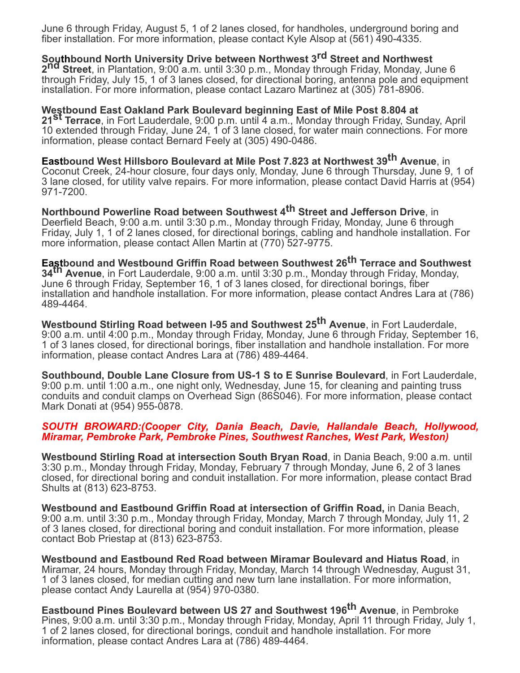June 6 through Friday, August 5, 1 of 2 lanes closed, for handholes, underground boring and fiber installation. For more information, please contact Kyle Alsop at (561) 490-4335.

**Southbound North University Drive between Northwest 3rd Street and Northwest 2nd Street**, in Plantation, 9:00 a.m. until 3:30 p.m., Monday through Friday, Monday, June 6 through Friday, July 15, 1 of 3 lanes closed, for directional boring, antenna pole and equipment installation. For more information, please contact Lazaro Martinez at (305) 781-8906.

**Westbound East Oakland Park Boulevard beginning East of Mile Post 8.804 at 21st Terrace**, in Fort Lauderdale, 9:00 p.m. until 4 a.m., Monday through Friday, Sunday, April 10 extended through Friday, June 24, 1 of 3 lane closed, for water main connections. For more information, please contact Bernard Feely at (305) 490-0486.

**Eastbound West Hillsboro Boulevard at Mile Post 7.823 at Northwest 39th Avenue**, in Coconut Creek, 24-hour closure, four days only, Monday, June 6 through Thursday, June 9, 1 of 3 lane closed, for utility valve repairs. For more information, please contact David Harris at (954) 971-7200.

**Northbound Powerline Road between Southwest 4th Street and Jefferson Drive**, in Deerfield Beach, 9:00 a.m. until 3:30 p.m., Monday through Friday, Monday, June 6 through Friday, July 1, 1 of 2 lanes closed, for directional borings, cabling and handhole installation. For more information, please contact Allen Martin at (770) 527-9775.

**Eastbound and Westbound Griffin Road between Southwest 26th Terrace and Southwest 34th Avenue**, in Fort Lauderdale, 9:00 a.m. until 3:30 p.m., Monday through Friday, Monday, June 6 through Friday, September 16, 1 of 3 lanes closed, for directional borings, fiber installation and handhole installation. For more information, please contact Andres Lara at (786) 489-4464.

**Westbound Stirling Road between I-95 and Southwest 25th Avenue**, in Fort Lauderdale, 9:00 a.m. until 4:00 p.m., Monday through Friday, Monday, June 6 through Friday, September 16, 1 of 3 lanes closed, for directional borings, fiber installation and handhole installation. For more information, please contact Andres Lara at (786) 489-4464.

**Southbound, Double Lane Closure from US-1 S to E Sunrise Boulevard**, in Fort Lauderdale, 9:00 p.m. until 1:00 a.m., one night only, Wednesday, June 15, for cleaning and painting truss conduits and conduit clamps on Overhead Sign (86S046). For more information, please contact Mark Donati at (954) 955-0878.

#### *SOUTH BROWARD:(Cooper City, Dania Beach, Davie, Hallandale Beach, Hollywood, Miramar, Pembroke Park, Pembroke Pines, Southwest Ranches, West Park, Weston)*

**Westbound Stirling Road at intersection South Bryan Road**, in Dania Beach, 9:00 a.m. until 3:30 p.m., Monday through Friday, Monday, February 7 through Monday, June 6, 2 of 3 lanes closed, for directional boring and conduit installation. For more information, please contact Brad Shults at (813) 623-8753.

**Westbound and Eastbound Griffin Road at intersection of Griffin Road,** in Dania Beach, 9:00 a.m. until 3:30 p.m., Monday through Friday, Monday, March 7 through Monday, July 11, 2 of 3 lanes closed, for directional boring and conduit installation. For more information, please contact Bob Priestap at (813) 623-8753.

**Westbound and Eastbound Red Road between Miramar Boulevard and Hiatus Road**, in Miramar, 24 hours, Monday through Friday, Monday, March 14 through Wednesday, August 31, 1 of 3 lanes closed, for median cutting and new turn lane installation. For more information, please contact Andy Laurella at (954) 970-0380.

**Eastbound Pines Boulevard between US 27 and Southwest 196th Avenue**, in Pembroke Pines, 9:00 a.m. until 3:30 p.m., Monday through Friday, Monday, April 11 through Friday, July 1, 1 of 2 lanes closed, for directional borings, conduit and handhole installation. For more information, please contact Andres Lara at (786) 489-4464.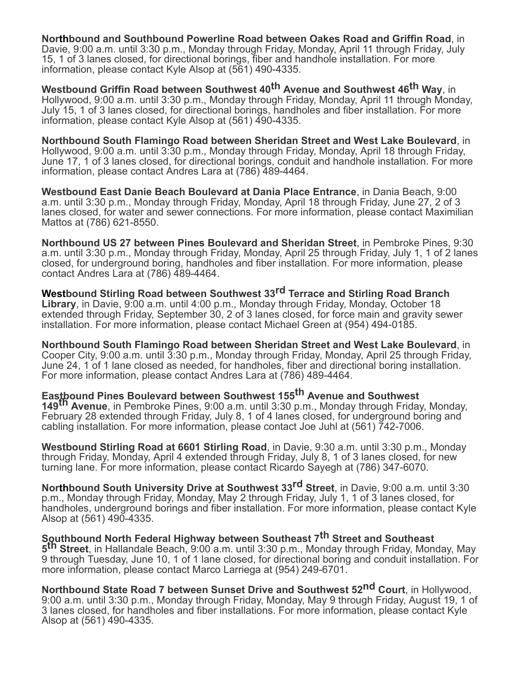**Northbound and Southbound Powerline Road between Oakes Road and Griffin Road**, in Davie, 9:00 a.m. until 3:30 p.m., Monday through Friday, Monday, April 11 through Friday, July 15, 1 of 3 lanes closed, for directional borings, fiber and handhole installation. For more information, please contact Kyle Alsop at (561) 490-4335.

**Westbound Griffin Road between Southwest 40th Avenue and Southwest 46th Way**, in Hollywood, 9:00 a.m. until 3:30 p.m., Monday through Friday, Monday, April 11 through Monday, July 15, 1 of 3 lanes closed, for directional borings, handholes and fiber installation. For more information, please contact Kyle Alsop at (561) 490-4335.

**Northbound South Flamingo Road between Sheridan Street and West Lake Boulevard**, in Hollywood, 9:00 a.m. until 3:30 p.m., Monday through Friday, Monday, April 18 through Friday, June 17, 1 of 3 lanes closed, for directional borings, conduit and handhole installation. For more information, please contact Andres Lara at (786) 489-4464.

**Westbound East Danie Beach Boulevard at Dania Place Entrance**, in Dania Beach, 9:00 a.m. until 3:30 p.m., Monday through Friday, Monday, April 18 through Friday, June 27, 2 of 3 lanes closed, for water and sewer connections. For more information, please contact Maximilian Mattos at (786) 621-8550.

**Northbound US 27 between Pines Boulevard and Sheridan Street**, in Pembroke Pines, 9:30 a.m. until 3:30 p.m., Monday through Friday, Monday, April 25 through Friday, July 1, 1 of 2 lanes closed, for underground boring, handholes and fiber installation. For more information, please contact Andres Lara at (786) 489-4464.

**Westbound Stirling Road between Southwest 33rd Terrace and Stirling Road Branch Library**, in Davie, 9:00 a.m. until 4:00 p.m., Monday through Friday, Monday, October 18 extended through Friday, September 30, 2 of 3 lanes closed, for force main and gravity sewer installation. For more information, please contact Michael Green at (954) 494-0185.

**Northbound South Flamingo Road between Sheridan Street and West Lake Boulevard**, in Cooper City, 9:00 a.m. until 3:30 p.m., Monday through Friday, Monday, April 25 through Friday, June 24, 1 of 1 lane closed as needed, for handholes, fiber and directional boring installation. For more information, please contact Andres Lara at (786) 489-4464.

**Eastbound Pines Boulevard between Southwest 155th Avenue and Southwest 149th Avenue**, in Pembroke Pines, 9:00 a.m. until 3:30 p.m., Monday through Friday, Monday, February 28 extended through Friday, July 8, 1 of 4 lanes closed, for underground boring and cabling installation. For more information, please contact Joe Juhl at (561) 742-7006.

**Westbound Stirling Road at 6601 Stirling Road**, in Davie, 9:30 a.m. until 3:30 p.m., Monday through Friday, Monday, April 4 extended through Friday, July 8, 1 of 3 lanes closed, for new turning lane. For more information, please contact Ricardo Sayegh at (786) 347-6070.

**Northbound South University Drive at Southwest 33rd Street**, in Davie, 9:00 a.m. until 3:30 p.m., Monday through Friday, Monday, May 2 through Friday, July 1, 1 of 3 lanes closed, for handholes, underground borings and fiber installation. For more information, please contact Kyle Alsop at (561) 490-4335.

**Southbound North Federal Highway between Southeast 7th Street and Southeast 5 th Street**, in Hallandale Beach, 9:00 a.m. until 3:30 p.m., Monday through Friday, Monday, May 9 through Tuesday, June 10, 1 of 1 lane closed, for directional boring and conduit installation. For more information, please contact Marco Larriega at (954) 249-6701.

**Northbound State Road 7 between Sunset Drive and Southwest 52nd Court**, in Hollywood, 9:00 a.m. until 3:30 p.m., Monday through Friday, Monday, May 9 through Friday, August 19, 1 of 3 lanes closed, for handholes and fiber installations. For more information, please contact Kyle Alsop at (561) 490-4335.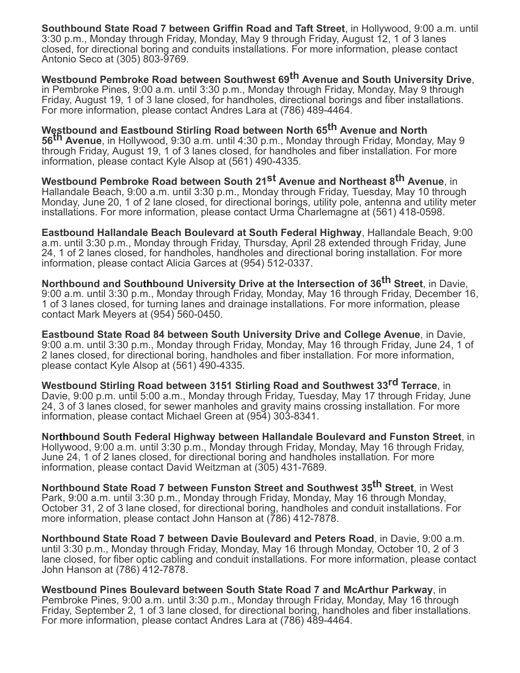**Southbound State Road 7 between Griffin Road and Taft Street**, in Hollywood, 9:00 a.m. until 3:30 p.m., Monday through Friday, Monday, May 9 through Friday, August 12, 1 of 3 lanes closed, for directional boring and conduits installations. For more information, please contact Antonio Seco at (305) 803-9769.

**Westbound Pembroke Road between Southwest 69th Avenue and South University Drive**, in Pembroke Pines, 9:00 a.m. until 3:30 p.m., Monday through Friday, Monday, May 9 through Friday, August 19, 1 of 3 lane closed, for handholes, directional borings and fiber installations. For more information, please contact Andres Lara at (786) 489-4464.

**Westbound and Eastbound Stirling Road between North 65th Avenue and North 56th Avenue**, in Hollywood, 9:30 a.m. until 4:30 p.m., Monday through Friday, Monday, May 9 through Friday, August 19, 1 of 3 lanes closed, for handholes and fiber installation. For more information, please contact Kyle Alsop at (561) 490-4335.

**Westbound Pembroke Road between South 21st Avenue and Northeast 8th Avenue**, in Hallandale Beach, 9:00 a.m. until 3:30 p.m., Monday through Friday, Tuesday, May 10 through Monday, June 20, 1 of 2 lane closed, for directional borings, utility pole, antenna and utility meter installations. For more information, please contact Urma Charlemagne at (561) 418-0598.

**Eastbound Hallandale Beach Boulevard at South Federal Highway**, Hallandale Beach, 9:00 a.m. until 3:30 p.m., Monday through Friday, Thursday, April 28 extended through Friday, June 24, 1 of 2 lanes closed, for handholes, handholes and directional boring installation. For more information, please contact Alicia Garces at (954) 512-0337.

**Northbound and Southbound University Drive at the Intersection of 36th Street**, in Davie, 9:00 a.m. until 3:30 p.m., Monday through Friday, Monday, May 16 through Friday, December 16, 1 of 3 lanes closed, for turning lanes and drainage installations. For more information, please contact Mark Meyers at (954) 560-0450.

**Eastbound State Road 84 between South University Drive and College Avenue**, in Davie, 9:00 a.m. until 3:30 p.m., Monday through Friday, Monday, May 16 through Friday, June 24, 1 of 2 lanes closed, for directional boring, handholes and fiber installation. For more information, please contact Kyle Alsop at (561) 490-4335.

**Westbound Stirling Road between 3151 Stirling Road and Southwest 33rd Terrace**, in Davie, 9:00 p.m. until 5:00 a.m., Monday through Friday, Tuesday, May 17 through Friday, June 24, 3 of 3 lanes closed, for sewer manholes and gravity mains crossing installation. For more information, please contact Michael Green at (954) 303-8341.

**Northbound South Federal Highway between Hallandale Boulevard and Funston Street**, in Hollywood, 9:00 a.m. until 3:30 p.m., Monday through Friday, Monday, May 16 through Friday, June 24, 1 of 2 lanes closed, for directional boring and handholes installation. For more information, please contact David Weitzman at (305) 431-7689.

**Northbound State Road 7 between Funston Street and Southwest 35th Street**, in West Park, 9:00 a.m. until 3:30 p.m., Monday through Friday, Monday, May 16 through Monday, October 31, 2 of 3 lane closed, for directional boring, handholes and conduit installations. For more information, please contact John Hanson at (786) 412-7878.

**Northbound State Road 7 between Davie Boulevard and Peters Road**, in Davie, 9:00 a.m. until 3:30 p.m., Monday through Friday, Monday, May 16 through Monday, October 10, 2 of 3 lane closed, for fiber optic cabling and conduit installations. For more information, please contact John Hanson at (786) 412-7878.

**Westbound Pines Boulevard between South State Road 7 and McArthur Parkway**, in Pembroke Pines, 9:00 a.m. until 3:30 p.m., Monday through Friday, Monday, May 16 through Friday, September 2, 1 of 3 lane closed, for directional boring, handholes and fiber installations. For more information, please contact Andres Lara at (786) 489-4464.